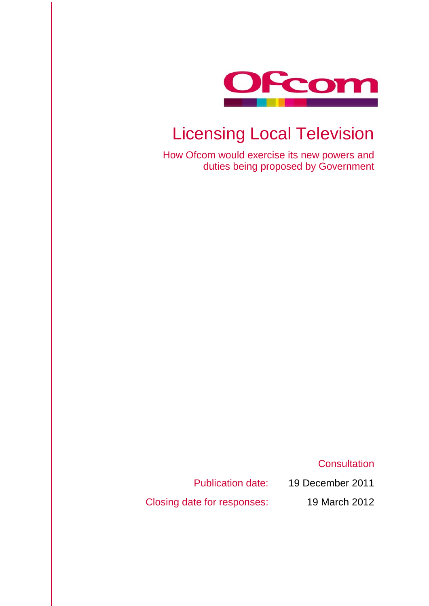

# Licensing Local Television

How Ofcom would exercise its new powers and duties being proposed by Government

**Consultation** 

Publication date: 19 December 2011 Closing date for responses: 19 March 2012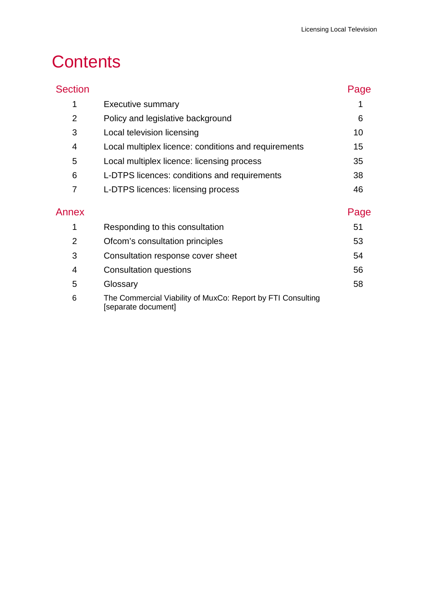# **Contents**

| <b>Section</b> |                                                                                    | Page |
|----------------|------------------------------------------------------------------------------------|------|
| 1              | <b>Executive summary</b>                                                           |      |
| 2              | Policy and legislative background                                                  | 6    |
| 3              | Local television licensing                                                         | 10   |
| 4              | Local multiplex licence: conditions and requirements                               | 15   |
| 5              | Local multiplex licence: licensing process                                         | 35   |
| 6              | L-DTPS licences: conditions and requirements                                       | 38   |
| 7              | L-DTPS licences: licensing process                                                 | 46   |
| Annex          |                                                                                    | Page |
| 1              | Responding to this consultation                                                    | 51   |
| $\overline{2}$ | Ofcom's consultation principles                                                    | 53   |
| 3              | Consultation response cover sheet                                                  | 54   |
| 4              | <b>Consultation questions</b>                                                      | 56   |
| 5              | Glossary                                                                           | 58   |
| 6              | The Commercial Viability of MuxCo: Report by FTI Consulting<br>[separate document] |      |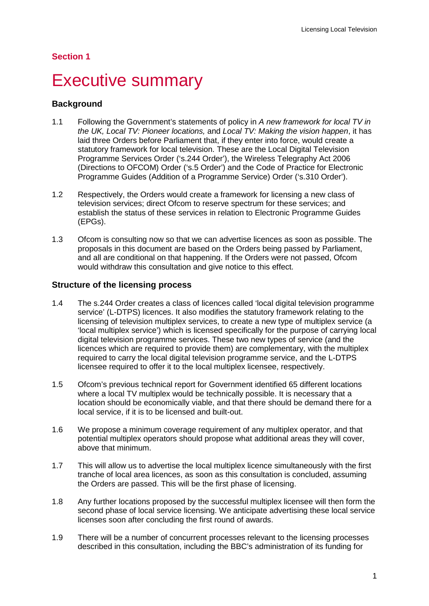#### **Section 1**

# <span id="page-3-0"></span>**Executive summary**

#### **Background**

- 1.1 Following the Government's statements of policy in *A new framework for local TV in the UK, Local TV: Pioneer locations,* and *Local TV: Making the vision happen*, it has laid three Orders before Parliament that, if they enter into force, would create a statutory framework for local television. These are the Local Digital Television Programme Services Order ('s.244 Order'), the Wireless Telegraphy Act 2006 (Directions to OFCOM) Order ('s.5 Order') and the Code of Practice for Electronic Programme Guides (Addition of a Programme Service) Order ('s.310 Order').
- 1.2 Respectively, the Orders would create a framework for licensing a new class of television services; direct Ofcom to reserve spectrum for these services; and establish the status of these services in relation to Electronic Programme Guides (EPGs).
- 1.3 Ofcom is consulting now so that we can advertise licences as soon as possible. The proposals in this document are based on the Orders being passed by Parliament, and all are conditional on that happening. If the Orders were not passed, Ofcom would withdraw this consultation and give notice to this effect.

#### **Structure of the licensing process**

- 1.4 The s.244 Order creates a class of licences called 'local digital television programme service' (L-DTPS) licences. It also modifies the statutory framework relating to the licensing of television multiplex services, to create a new type of multiplex service (a 'local multiplex service') which is licensed specifically for the purpose of carrying local digital television programme services. These two new types of service (and the licences which are required to provide them) are complementary, with the multiplex required to carry the local digital television programme service, and the L-DTPS licensee required to offer it to the local multiplex licensee, respectively.
- 1.5 Ofcom's previous technical report for Government identified 65 different locations where a local TV multiplex would be technically possible. It is necessary that a location should be economically viable, and that there should be demand there for a local service, if it is to be licensed and built-out.
- 1.6 We propose a minimum coverage requirement of any multiplex operator, and that potential multiplex operators should propose what additional areas they will cover, above that minimum.
- 1.7 This will allow us to advertise the local multiplex licence simultaneously with the first tranche of local area licences, as soon as this consultation is concluded, assuming the Orders are passed. This will be the first phase of licensing.
- 1.8 Any further locations proposed by the successful multiplex licensee will then form the second phase of local service licensing. We anticipate advertising these local service licenses soon after concluding the first round of awards.
- 1.9 There will be a number of concurrent processes relevant to the licensing processes described in this consultation, including the BBC's administration of its funding for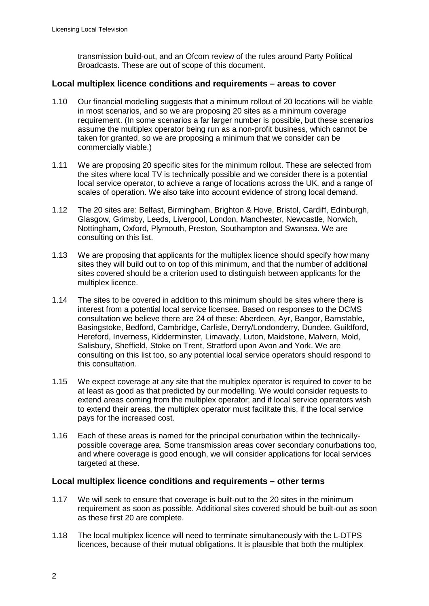transmission build-out, and an Ofcom review of the rules around Party Political Broadcasts. These are out of scope of this document.

#### **Local multiplex licence conditions and requirements – areas to cover**

- 1.10 Our financial modelling suggests that a minimum rollout of 20 locations will be viable in most scenarios, and so we are proposing 20 sites as a minimum coverage requirement. (In some scenarios a far larger number is possible, but these scenarios assume the multiplex operator being run as a non-profit business, which cannot be taken for granted, so we are proposing a minimum that we consider can be commercially viable.)
- 1.11 We are proposing 20 specific sites for the minimum rollout. These are selected from the sites where local TV is technically possible and we consider there is a potential local service operator, to achieve a range of locations across the UK, and a range of scales of operation. We also take into account evidence of strong local demand.
- 1.12 The 20 sites are: Belfast, Birmingham, Brighton & Hove, Bristol, Cardiff, Edinburgh, Glasgow, Grimsby, Leeds, Liverpool, London, Manchester, Newcastle, Norwich, Nottingham, Oxford, Plymouth, Preston, Southampton and Swansea. We are consulting on this list.
- 1.13 We are proposing that applicants for the multiplex licence should specify how many sites they will build out to on top of this minimum, and that the number of additional sites covered should be a criterion used to distinguish between applicants for the multiplex licence.
- 1.14 The sites to be covered in addition to this minimum should be sites where there is interest from a potential local service licensee. Based on responses to the DCMS consultation we believe there are 24 of these: Aberdeen, Ayr, Bangor, Barnstable, Basingstoke, Bedford, Cambridge, Carlisle, Derry/Londonderry, Dundee, Guildford, Hereford, Inverness, Kidderminster, Limavady, Luton, Maidstone, Malvern, Mold, Salisbury, Sheffield, Stoke on Trent, Stratford upon Avon and York. We are consulting on this list too, so any potential local service operators should respond to this consultation.
- 1.15 We expect coverage at any site that the multiplex operator is required to cover to be at least as good as that predicted by our modelling. We would consider requests to extend areas coming from the multiplex operator; and if local service operators wish to extend their areas, the multiplex operator must facilitate this, if the local service pays for the increased cost.
- 1.16 Each of these areas is named for the principal conurbation within the technicallypossible coverage area. Some transmission areas cover secondary conurbations too, and where coverage is good enough, we will consider applications for local services targeted at these.

#### **Local multiplex licence conditions and requirements – other terms**

- 1.17 We will seek to ensure that coverage is built-out to the 20 sites in the minimum requirement as soon as possible. Additional sites covered should be built-out as soon as these first 20 are complete.
- 1.18 The local multiplex licence will need to terminate simultaneously with the L-DTPS licences, because of their mutual obligations. It is plausible that both the multiplex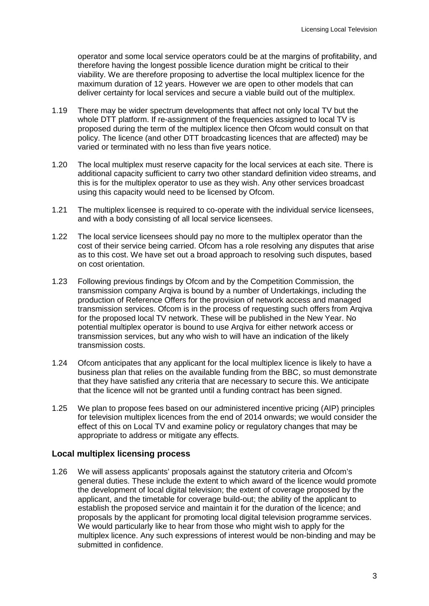operator and some local service operators could be at the margins of profitability, and therefore having the longest possible licence duration might be critical to their viability. We are therefore proposing to advertise the local multiplex licence for the maximum duration of 12 years. However we are open to other models that can deliver certainty for local services and secure a viable build out of the multiplex.

- 1.19 There may be wider spectrum developments that affect not only local TV but the whole DTT platform. If re-assignment of the frequencies assigned to local TV is proposed during the term of the multiplex licence then Ofcom would consult on that policy. The licence (and other DTT broadcasting licences that are affected) may be varied or terminated with no less than five years notice.
- 1.20 The local multiplex must reserve capacity for the local services at each site. There is additional capacity sufficient to carry two other standard definition video streams, and this is for the multiplex operator to use as they wish. Any other services broadcast using this capacity would need to be licensed by Ofcom.
- 1.21 The multiplex licensee is required to co-operate with the individual service licensees, and with a body consisting of all local service licensees.
- 1.22 The local service licensees should pay no more to the multiplex operator than the cost of their service being carried. Ofcom has a role resolving any disputes that arise as to this cost. We have set out a broad approach to resolving such disputes, based on cost orientation.
- 1.23 Following previous findings by Ofcom and by the Competition Commission, the transmission company Arqiva is bound by a number of Undertakings, including the production of Reference Offers for the provision of network access and managed transmission services. Ofcom is in the process of requesting such offers from Arqiva for the proposed local TV network. These will be published in the New Year. No potential multiplex operator is bound to use Arqiva for either network access or transmission services, but any who wish to will have an indication of the likely transmission costs.
- 1.24 Ofcom anticipates that any applicant for the local multiplex licence is likely to have a business plan that relies on the available funding from the BBC, so must demonstrate that they have satisfied any criteria that are necessary to secure this. We anticipate that the licence will not be granted until a funding contract has been signed.
- 1.25 We plan to propose fees based on our administered incentive pricing (AIP) principles for television multiplex licences from the end of 2014 onwards; we would consider the effect of this on Local TV and examine policy or regulatory changes that may be appropriate to address or mitigate any effects.

## **Local multiplex licensing process**

1.26 We will assess applicants' proposals against the statutory criteria and Ofcom's general duties. These include the extent to which award of the licence would promote the development of local digital television; the extent of coverage proposed by the applicant, and the timetable for coverage build-out; the ability of the applicant to establish the proposed service and maintain it for the duration of the licence; and proposals by the applicant for promoting local digital television programme services. We would particularly like to hear from those who might wish to apply for the multiplex licence. Any such expressions of interest would be non-binding and may be submitted in confidence.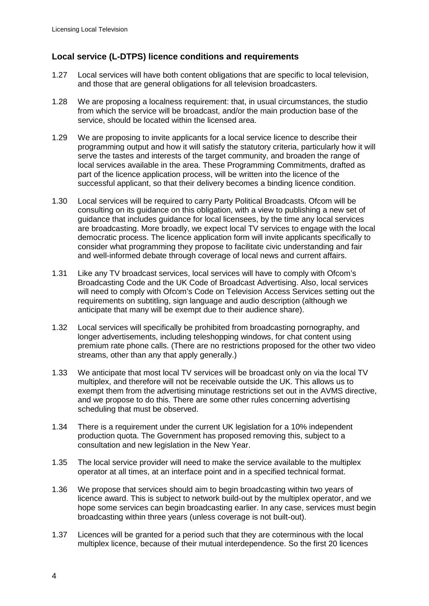## **Local service (L-DTPS) licence conditions and requirements**

- 1.27 Local services will have both content obligations that are specific to local television, and those that are general obligations for all television broadcasters.
- 1.28 We are proposing a localness requirement: that, in usual circumstances, the studio from which the service will be broadcast, and/or the main production base of the service, should be located within the licensed area.
- 1.29 We are proposing to invite applicants for a local service licence to describe their programming output and how it will satisfy the statutory criteria, particularly how it will serve the tastes and interests of the target community, and broaden the range of local services available in the area. These Programming Commitments, drafted as part of the licence application process, will be written into the licence of the successful applicant, so that their delivery becomes a binding licence condition.
- 1.30 Local services will be required to carry Party Political Broadcasts. Ofcom will be consulting on its guidance on this obligation, with a view to publishing a new set of guidance that includes guidance for local licensees, by the time any local services are broadcasting. More broadly, we expect local TV services to engage with the local democratic process. The licence application form will invite applicants specifically to consider what programming they propose to facilitate civic understanding and fair and well-informed debate through coverage of local news and current affairs.
- 1.31 Like any TV broadcast services, local services will have to comply with Ofcom's Broadcasting Code and the UK Code of Broadcast Advertising. Also, local services will need to comply with Ofcom's Code on Television Access Services setting out the requirements on subtitling, sign language and audio description (although we anticipate that many will be exempt due to their audience share).
- 1.32 Local services will specifically be prohibited from broadcasting pornography, and longer advertisements, including teleshopping windows, for chat content using premium rate phone calls. (There are no restrictions proposed for the other two video streams, other than any that apply generally.)
- 1.33 We anticipate that most local TV services will be broadcast only on via the local TV multiplex, and therefore will not be receivable outside the UK. This allows us to exempt them from the advertising minutage restrictions set out in the AVMS directive, and we propose to do this. There are some other rules concerning advertising scheduling that must be observed.
- 1.34 There is a requirement under the current UK legislation for a 10% independent production quota. The Government has proposed removing this, subject to a consultation and new legislation in the New Year.
- 1.35 The local service provider will need to make the service available to the multiplex operator at all times, at an interface point and in a specified technical format.
- 1.36 We propose that services should aim to begin broadcasting within two years of licence award. This is subject to network build-out by the multiplex operator, and we hope some services can begin broadcasting earlier. In any case, services must begin broadcasting within three years (unless coverage is not built-out).
- 1.37 Licences will be granted for a period such that they are coterminous with the local multiplex licence, because of their mutual interdependence. So the first 20 licences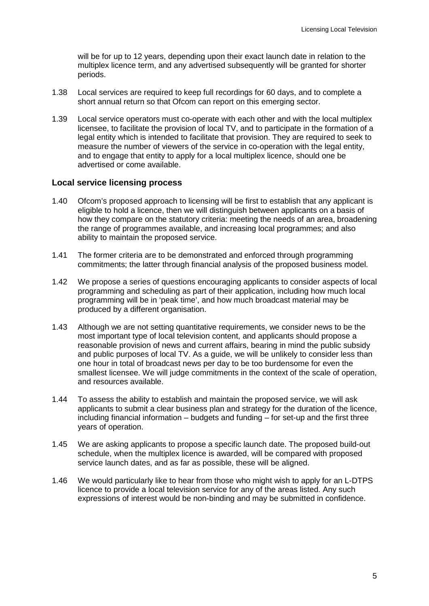will be for up to 12 years, depending upon their exact launch date in relation to the multiplex licence term, and any advertised subsequently will be granted for shorter periods.

- 1.38 Local services are required to keep full recordings for 60 days, and to complete a short annual return so that Ofcom can report on this emerging sector.
- 1.39 Local service operators must co-operate with each other and with the local multiplex licensee, to facilitate the provision of local TV, and to participate in the formation of a legal entity which is intended to facilitate that provision. They are required to seek to measure the number of viewers of the service in co-operation with the legal entity, and to engage that entity to apply for a local multiplex licence, should one be advertised or come available.

#### **Local service licensing process**

- 1.40 Ofcom's proposed approach to licensing will be first to establish that any applicant is eligible to hold a licence, then we will distinguish between applicants on a basis of how they compare on the statutory criteria: meeting the needs of an area, broadening the range of programmes available, and increasing local programmes; and also ability to maintain the proposed service.
- 1.41 The former criteria are to be demonstrated and enforced through programming commitments; the latter through financial analysis of the proposed business model.
- 1.42 We propose a series of questions encouraging applicants to consider aspects of local programming and scheduling as part of their application, including how much local programming will be in 'peak time', and how much broadcast material may be produced by a different organisation.
- 1.43 Although we are not setting quantitative requirements, we consider news to be the most important type of local television content, and applicants should propose a reasonable provision of news and current affairs, bearing in mind the public subsidy and public purposes of local TV. As a guide, we will be unlikely to consider less than one hour in total of broadcast news per day to be too burdensome for even the smallest licensee. We will judge commitments in the context of the scale of operation, and resources available.
- 1.44 To assess the ability to establish and maintain the proposed service, we will ask applicants to submit a clear business plan and strategy for the duration of the licence, including financial information – budgets and funding – for set-up and the first three years of operation.
- 1.45 We are asking applicants to propose a specific launch date. The proposed build-out schedule, when the multiplex licence is awarded, will be compared with proposed service launch dates, and as far as possible, these will be aligned.
- 1.46 We would particularly like to hear from those who might wish to apply for an L-DTPS licence to provide a local television service for any of the areas listed. Any such expressions of interest would be non-binding and may be submitted in confidence.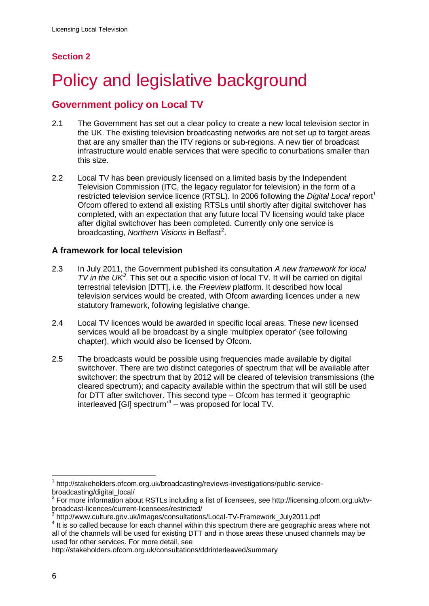# **Section 2**

# <span id="page-8-0"></span>Policy and legislative background

# **Government policy on Local TV**

- 2.1 The Government has set out a clear policy to create a new local television sector in the UK. The existing television broadcasting networks are not set up to target areas that are any smaller than the ITV regions or sub-regions. A new tier of broadcast infrastructure would enable services that were specific to conurbations smaller than this size.
- 2.2 Local TV has been previously licensed on a limited basis by the Independent Television Commission (ITC, the legacy regulator for television) in the form of a restricted television service licence (RTSL). In 2006 following the *Digital Local* report<sup>[1](#page-8-1)</sup> Ofcom offered to extend all existing RTSLs until shortly after digital switchover has completed, with an expectation that any future local TV licensing would take place after digital switchover has been completed. Currently only one service is broadcasting, Northern Visions in Belfast<sup>[2](#page-8-2)</sup>.

## **A framework for local television**

- 2.3 In July 2011, the Government published its consultation *A new framework for local TV in the UK<sup>[3](#page-8-3)</sup>*. This set out a specific vision of local TV. It will be carried on digital terrestrial television [DTT], i.e. the *Freeview* platform. It described how local television services would be created, with Ofcom awarding licences under a new statutory framework, following legislative change.
- 2.4 Local TV licences would be awarded in specific local areas. These new licensed services would all be broadcast by a single 'multiplex operator' (see following chapter), which would also be licensed by Ofcom.
- 2.5 The broadcasts would be possible using frequencies made available by digital switchover. There are two distinct categories of spectrum that will be available after switchover: the spectrum that by 2012 will be cleared of television transmissions (the cleared spectrum); and capacity available within the spectrum that will still be used for DTT after switchover. This second type – Ofcom has termed it 'geographic interleaved [GI] spectrum'<sup>[4](#page-8-4)</sup> – was proposed for local TV.

<span id="page-8-1"></span><sup>1</sup> http://stakeholders.ofcom.org.uk/broadcasting/reviews-investigations/public-servicebroadcasting/digital\_local/

<span id="page-8-2"></span><sup>2</sup> For more information about RSTLs including a list of licensees, see http://licensing.ofcom.org.uk/tvbroadcast-licences/current-licensees/restricted/<br>
<sup>3</sup> http://www.culture.gov.uk/images/consultations/Local-TV-Framework\_July2011.pdf

<span id="page-8-3"></span>

<span id="page-8-4"></span><sup>&</sup>lt;sup>4</sup> It is so called because for each channel within this spectrum there are geographic areas where not all of the channels will be used for existing DTT and in those areas these unused channels may be used for other services. For more detail, see

http://stakeholders.ofcom.org.uk/consultations/ddrinterleaved/summary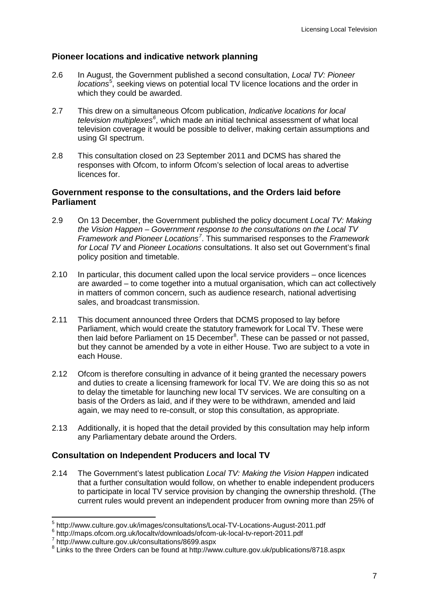## **Pioneer locations and indicative network planning**

- 2.6 In August, the Government published a second consultation, *Local TV: Pioneer*  locations<sup>[5](#page-9-0)</sup>, seeking views on potential local TV licence locations and the order in which they could be awarded.
- 2.7 This drew on a simultaneous Ofcom publication, *Indicative locations for local*  television multiplexes<sup>[6](#page-9-1)</sup>, which made an initial technical assessment of what local television coverage it would be possible to deliver, making certain assumptions and using GI spectrum.
- 2.8 This consultation closed on 23 September 2011 and DCMS has shared the responses with Ofcom, to inform Ofcom's selection of local areas to advertise licences for.

### **Government response to the consultations, and the Orders laid before Parliament**

- 2.9 On 13 December, the Government published the policy document *Local TV: Making the Vision Happen – Government response to the consultations on the Local TV Framework and Pioneer Locations[7](#page-9-2)* . This summarised responses to the *Framework for Local TV* and *Pioneer Locations* consultations. It also set out Government's final policy position and timetable.
- 2.10 In particular, this document called upon the local service providers once licences are awarded – to come together into a mutual organisation, which can act collectively in matters of common concern, such as audience research, national advertising sales, and broadcast transmission.
- 2.11 This document announced three Orders that DCMS proposed to lay before Parliament, which would create the statutory framework for Local TV. These were then laid before Parliament on 15 December ${}^{8}$  ${}^{8}$  ${}^{8}$ . These can be passed or not passed, but they cannot be amended by a vote in either House. Two are subject to a vote in each House.
- 2.12 Ofcom is therefore consulting in advance of it being granted the necessary powers and duties to create a licensing framework for local TV. We are doing this so as not to delay the timetable for launching new local TV services. We are consulting on a basis of the Orders as laid, and if they were to be withdrawn, amended and laid again, we may need to re-consult, or stop this consultation, as appropriate.
- 2.13 Additionally, it is hoped that the detail provided by this consultation may help inform any Parliamentary debate around the Orders.

## **Consultation on Independent Producers and local TV**

2.14 The Government's latest publication *Local TV: Making the Vision Happen* indicated that a further consultation would follow, on whether to enable independent producers to participate in local TV service provision by changing the ownership threshold. (The current rules would prevent an independent producer from owning more than 25% of

<span id="page-9-0"></span> $^{5}$  http://www.culture.gov.uk/images/consultations/Local-TV-Locations-August-2011.pdf  $^{6}$  http://maps.ofcom.org.uk/localtv/downloads/ofcom-uk-local-tv-report-2011.pdf  $^{7}$  http://www.culture.gov.uk/consultations/8699

<span id="page-9-1"></span>

<span id="page-9-2"></span>

<span id="page-9-3"></span><sup>8</sup> Links to the three Orders can be found at http://www.culture.gov.uk/publications/8718.aspx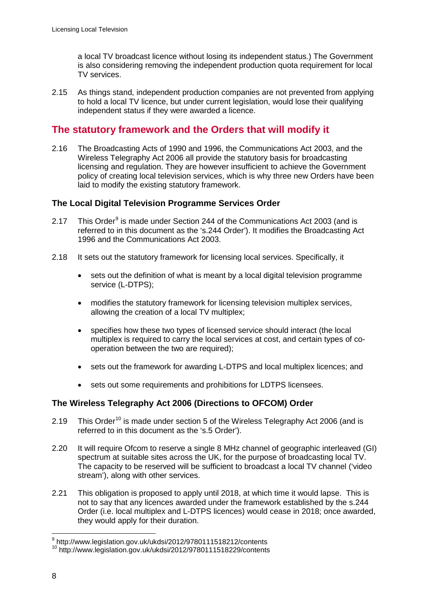a local TV broadcast licence without losing its independent status.) The Government is also considering removing the independent production quota requirement for local TV services.

2.15 As things stand, independent production companies are not prevented from applying to hold a local TV licence, but under current legislation, would lose their qualifying independent status if they were awarded a licence.

# **The statutory framework and the Orders that will modify it**

2.16 The Broadcasting Acts of 1990 and 1996, the Communications Act 2003, and the Wireless Telegraphy Act 2006 all provide the statutory basis for broadcasting licensing and regulation. They are however insufficient to achieve the Government policy of creating local television services, which is why three new Orders have been laid to modify the existing statutory framework.

## **The Local Digital Television Programme Services Order**

- 2.17 This Order<sup>[9](#page-10-0)</sup> is made under Section 244 of the Communications Act 2003 (and is referred to in this document as the 's.244 Order'). It modifies the Broadcasting Act 1996 and the Communications Act 2003.
- 2.18 It sets out the statutory framework for licensing local services. Specifically, it
	- sets out the definition of what is meant by a local digital television programme service (L-DTPS);
	- modifies the statutory framework for licensing television multiplex services, allowing the creation of a local TV multiplex;
	- specifies how these two types of licensed service should interact (the local multiplex is required to carry the local services at cost, and certain types of cooperation between the two are required);
	- sets out the framework for awarding L-DTPS and local multiplex licences; and
	- sets out some requirements and prohibitions for LDTPS licensees.

## **The Wireless Telegraphy Act 2006 (Directions to OFCOM) Order**

- 2.19 This Order<sup>[10](#page-10-1)</sup> is made under section 5 of the Wireless Telegraphy Act 2006 (and is referred to in this document as the 's.5 Order').
- 2.20 It will require Ofcom to reserve a single 8 MHz channel of geographic interleaved (GI) spectrum at suitable sites across the UK, for the purpose of broadcasting local TV. The capacity to be reserved will be sufficient to broadcast a local TV channel ('video stream'), along with other services.
- 2.21 This obligation is proposed to apply until 2018, at which time it would lapse. This is not to say that any licences awarded under the framework established by the s.244 Order (i.e. local multiplex and L-DTPS licences) would cease in 2018; once awarded, they would apply for their duration.

<span id="page-10-0"></span><sup>9</sup> http://www.legislation.gov.uk/ukdsi/2012/9780111518212/contents

<span id="page-10-1"></span><sup>10</sup> http://www.legislation.gov.uk/ukdsi/2012/9780111518229/contents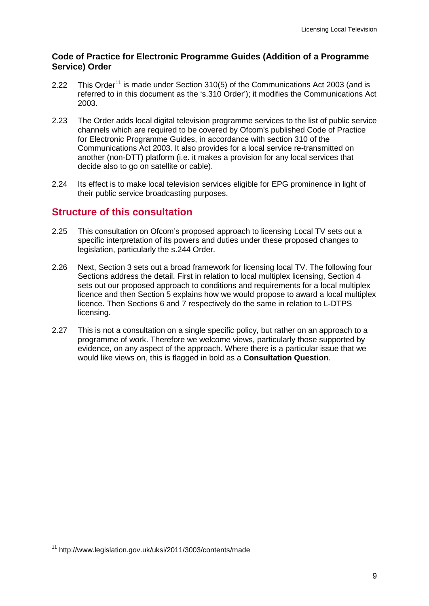### **Code of Practice for Electronic Programme Guides (Addition of a Programme Service) Order**

- 2.22 This Order<sup>[11](#page-11-0)</sup> is made under Section 310(5) of the Communications Act 2003 (and is referred to in this document as the 's.310 Order'); it modifies the Communications Act 2003.
- 2.23 The Order adds local digital television programme services to the list of public service channels which are required to be covered by Ofcom's published Code of Practice for Electronic Programme Guides, in accordance with section 310 of the Communications Act 2003. It also provides for a local service re-transmitted on another (non-DTT) platform (i.e. it makes a provision for any local services that decide also to go on satellite or cable).
- 2.24 Its effect is to make local television services eligible for EPG prominence in light of their public service broadcasting purposes.

## **Structure of this consultation**

- 2.25 This consultation on Ofcom's proposed approach to licensing Local TV sets out a specific interpretation of its powers and duties under these proposed changes to legislation, particularly the s.244 Order.
- 2.26 Next, Section 3 sets out a broad framework for licensing local TV. The following four Sections address the detail. First in relation to local multiplex licensing, Section 4 sets out our proposed approach to conditions and requirements for a local multiplex licence and then Section 5 explains how we would propose to award a local multiplex licence. Then Sections 6 and 7 respectively do the same in relation to L-DTPS licensing.
- 2.27 This is not a consultation on a single specific policy, but rather on an approach to a programme of work. Therefore we welcome views, particularly those supported by evidence, on any aspect of the approach. Where there is a particular issue that we would like views on, this is flagged in bold as a **Consultation Question**.

<span id="page-11-0"></span><sup>11</sup> http://www.legislation.gov.uk/uksi/2011/3003/contents/made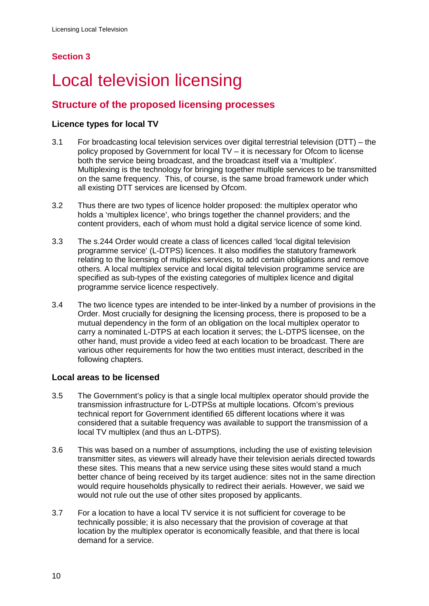# **Section 3**

# <span id="page-12-0"></span>**Local television licensing**

# **Structure of the proposed licensing processes**

## **Licence types for local TV**

- 3.1 For broadcasting local television services over digital terrestrial television (DTT) the policy proposed by Government for local TV – it is necessary for Ofcom to license both the service being broadcast, and the broadcast itself via a 'multiplex'. Multiplexing is the technology for bringing together multiple services to be transmitted on the same frequency. This, of course, is the same broad framework under which all existing DTT services are licensed by Ofcom.
- 3.2 Thus there are two types of licence holder proposed: the multiplex operator who holds a 'multiplex licence', who brings together the channel providers; and the content providers, each of whom must hold a digital service licence of some kind.
- 3.3 The s.244 Order would create a class of licences called 'local digital television programme service' (L-DTPS) licences. It also modifies the statutory framework relating to the licensing of multiplex services, to add certain obligations and remove others. A local multiplex service and local digital television programme service are specified as sub-types of the existing categories of multiplex licence and digital programme service licence respectively.
- 3.4 The two licence types are intended to be inter-linked by a number of provisions in the Order. Most crucially for designing the licensing process, there is proposed to be a mutual dependency in the form of an obligation on the local multiplex operator to carry a nominated L-DTPS at each location it serves; the L-DTPS licensee, on the other hand, must provide a video feed at each location to be broadcast. There are various other requirements for how the two entities must interact, described in the following chapters.

## **Local areas to be licensed**

- 3.5 The Government's policy is that a single local multiplex operator should provide the transmission infrastructure for L-DTPSs at multiple locations. Ofcom's previous technical report for Government identified 65 different locations where it was considered that a suitable frequency was available to support the transmission of a local TV multiplex (and thus an L-DTPS).
- 3.6 This was based on a number of assumptions, including the use of existing television transmitter sites, as viewers will already have their television aerials directed towards these sites. This means that a new service using these sites would stand a much better chance of being received by its target audience: sites not in the same direction would require households physically to redirect their aerials. However, we said we would not rule out the use of other sites proposed by applicants.
- 3.7 For a location to have a local TV service it is not sufficient for coverage to be technically possible; it is also necessary that the provision of coverage at that location by the multiplex operator is economically feasible, and that there is local demand for a service.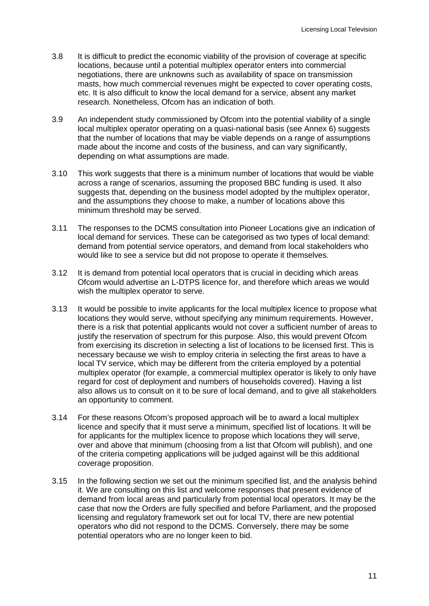- 3.8 It is difficult to predict the economic viability of the provision of coverage at specific locations, because until a potential multiplex operator enters into commercial negotiations, there are unknowns such as availability of space on transmission masts, how much commercial revenues might be expected to cover operating costs, etc. It is also difficult to know the local demand for a service, absent any market research. Nonetheless, Ofcom has an indication of both.
- 3.9 An independent study commissioned by Ofcom into the potential viability of a single local multiplex operator operating on a quasi-national basis (see Annex 6) suggests that the number of locations that may be viable depends on a range of assumptions made about the income and costs of the business, and can vary significantly, depending on what assumptions are made.
- 3.10 This work suggests that there is a minimum number of locations that would be viable across a range of scenarios, assuming the proposed BBC funding is used. It also suggests that, depending on the business model adopted by the multiplex operator, and the assumptions they choose to make, a number of locations above this minimum threshold may be served.
- 3.11 The responses to the DCMS consultation into Pioneer Locations give an indication of local demand for services. These can be categorised as two types of local demand: demand from potential service operators, and demand from local stakeholders who would like to see a service but did not propose to operate it themselves.
- 3.12 It is demand from potential local operators that is crucial in deciding which areas Ofcom would advertise an L-DTPS licence for, and therefore which areas we would wish the multiplex operator to serve.
- 3.13 It would be possible to invite applicants for the local multiplex licence to propose what locations they would serve, without specifying any minimum requirements. However, there is a risk that potential applicants would not cover a sufficient number of areas to justify the reservation of spectrum for this purpose. Also, this would prevent Ofcom from exercising its discretion in selecting a list of locations to be licensed first. This is necessary because we wish to employ criteria in selecting the first areas to have a local TV service, which may be different from the criteria employed by a potential multiplex operator (for example, a commercial multiplex operator is likely to only have regard for cost of deployment and numbers of households covered). Having a list also allows us to consult on it to be sure of local demand, and to give all stakeholders an opportunity to comment.
- 3.14 For these reasons Ofcom's proposed approach will be to award a local multiplex licence and specify that it must serve a minimum, specified list of locations. It will be for applicants for the multiplex licence to propose which locations they will serve, over and above that minimum (choosing from a list that Ofcom will publish), and one of the criteria competing applications will be judged against will be this additional coverage proposition.
- 3.15 In the following section we set out the minimum specified list, and the analysis behind it. We are consulting on this list and welcome responses that present evidence of demand from local areas and particularly from potential local operators. It may be the case that now the Orders are fully specified and before Parliament, and the proposed licensing and regulatory framework set out for local TV, there are new potential operators who did not respond to the DCMS. Conversely, there may be some potential operators who are no longer keen to bid.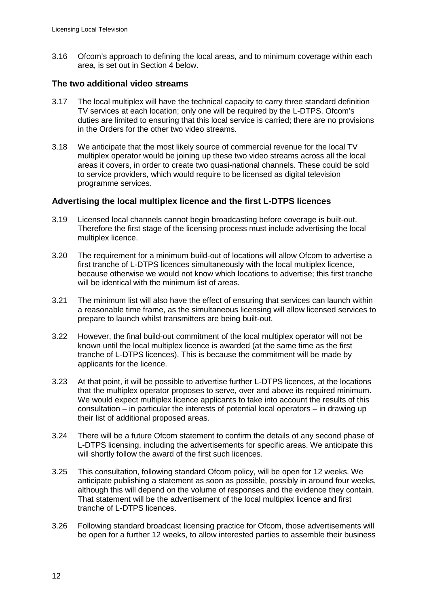3.16 Ofcom's approach to defining the local areas, and to minimum coverage within each area, is set out in Section 4 below.

#### **The two additional video streams**

- 3.17 The local multiplex will have the technical capacity to carry three standard definition TV services at each location; only one will be required by the L-DTPS. Ofcom's duties are limited to ensuring that this local service is carried; there are no provisions in the Orders for the other two video streams.
- 3.18 We anticipate that the most likely source of commercial revenue for the local TV multiplex operator would be joining up these two video streams across all the local areas it covers, in order to create two quasi-national channels. These could be sold to service providers, which would require to be licensed as digital television programme services.

#### **Advertising the local multiplex licence and the first L-DTPS licences**

- 3.19 Licensed local channels cannot begin broadcasting before coverage is built-out. Therefore the first stage of the licensing process must include advertising the local multiplex licence.
- 3.20 The requirement for a minimum build-out of locations will allow Ofcom to advertise a first tranche of L-DTPS licences simultaneously with the local multiplex licence, because otherwise we would not know which locations to advertise; this first tranche will be identical with the minimum list of areas.
- 3.21 The minimum list will also have the effect of ensuring that services can launch within a reasonable time frame, as the simultaneous licensing will allow licensed services to prepare to launch whilst transmitters are being built-out.
- 3.22 However, the final build-out commitment of the local multiplex operator will not be known until the local multiplex licence is awarded (at the same time as the first tranche of L-DTPS licences). This is because the commitment will be made by applicants for the licence.
- 3.23 At that point, it will be possible to advertise further L-DTPS licences, at the locations that the multiplex operator proposes to serve, over and above its required minimum. We would expect multiplex licence applicants to take into account the results of this consultation – in particular the interests of potential local operators – in drawing up their list of additional proposed areas.
- 3.24 There will be a future Ofcom statement to confirm the details of any second phase of L-DTPS licensing, including the advertisements for specific areas. We anticipate this will shortly follow the award of the first such licences.
- 3.25 This consultation, following standard Ofcom policy, will be open for 12 weeks. We anticipate publishing a statement as soon as possible, possibly in around four weeks, although this will depend on the volume of responses and the evidence they contain. That statement will be the advertisement of the local multiplex licence and first tranche of L-DTPS licences.
- 3.26 Following standard broadcast licensing practice for Ofcom, those advertisements will be open for a further 12 weeks, to allow interested parties to assemble their business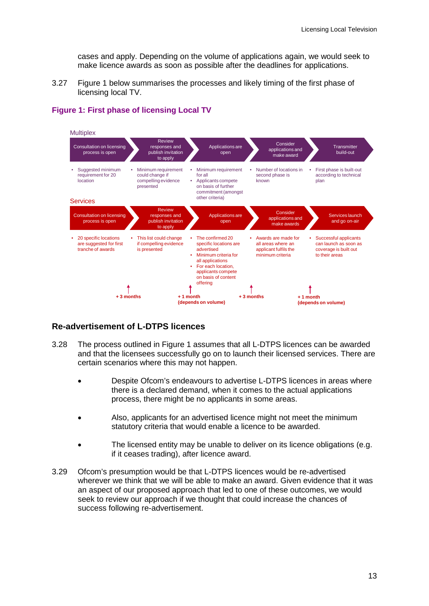cases and apply. Depending on the volume of applications again, we would seek to make licence awards as soon as possible after the deadlines for applications.

3.27 Figure 1 below summarises the processes and likely timing of the first phase of licensing local TV.



## **Figure 1: First phase of licensing Local TV**

## **Re-advertisement of L-DTPS licences**

- 3.28 The process outlined in Figure 1 assumes that all L-DTPS licences can be awarded and that the licensees successfully go on to launch their licensed services. There are certain scenarios where this may not happen.
	- Despite Ofcom's endeavours to advertise L-DTPS licences in areas where there is a declared demand, when it comes to the actual applications process, there might be no applicants in some areas.
	- Also, applicants for an advertised licence might not meet the minimum statutory criteria that would enable a licence to be awarded.
	- The licensed entity may be unable to deliver on its licence obligations (e.g. if it ceases trading), after licence award.
- 3.29 Ofcom's presumption would be that L-DTPS licences would be re-advertised wherever we think that we will be able to make an award. Given evidence that it was an aspect of our proposed approach that led to one of these outcomes, we would seek to review our approach if we thought that could increase the chances of success following re-advertisement.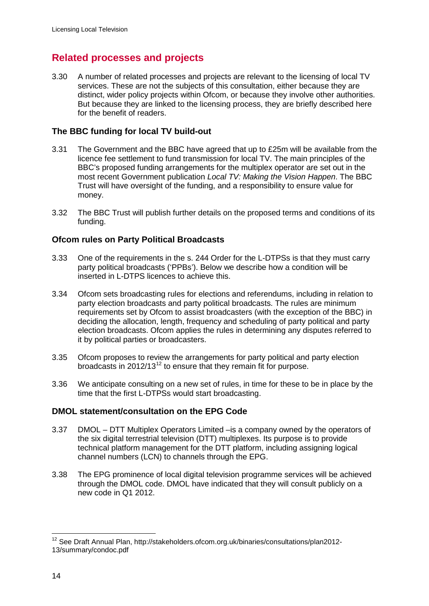# **Related processes and projects**

3.30 A number of related processes and projects are relevant to the licensing of local TV services. These are not the subjects of this consultation, either because they are distinct, wider policy projects within Ofcom, or because they involve other authorities. But because they are linked to the licensing process, they are briefly described here for the benefit of readers.

## **The BBC funding for local TV build-out**

- 3.31 The Government and the BBC have agreed that up to £25m will be available from the licence fee settlement to fund transmission for local TV. The main principles of the BBC's proposed funding arrangements for the multiplex operator are set out in the most recent Government publication *Local TV: Making the Vision Happen*. The BBC Trust will have oversight of the funding, and a responsibility to ensure value for money.
- 3.32 The BBC Trust will publish further details on the proposed terms and conditions of its funding.

## **Ofcom rules on Party Political Broadcasts**

- 3.33 One of the requirements in the s. 244 Order for the L-DTPSs is that they must carry party political broadcasts ('PPBs'). Below we describe how a condition will be inserted in L-DTPS licences to achieve this.
- 3.34 Ofcom sets broadcasting rules for elections and referendums, including in relation to party election broadcasts and party political broadcasts. The rules are minimum requirements set by Ofcom to assist broadcasters (with the exception of the BBC) in deciding the allocation, length, frequency and scheduling of party political and party election broadcasts. Ofcom applies the rules in determining any disputes referred to it by political parties or broadcasters.
- 3.35 Ofcom proposes to review the arrangements for party political and party election broadcasts in 20[12](#page-16-0)/13 $^{12}$  to ensure that they remain fit for purpose.
- 3.36 We anticipate consulting on a new set of rules, in time for these to be in place by the time that the first L-DTPSs would start broadcasting.

## **DMOL statement/consultation on the EPG Code**

- 3.37 DMOL DTT Multiplex Operators Limited –is a company owned by the operators of the six digital terrestrial television (DTT) multiplexes. Its purpose is to provide technical platform management for the DTT platform, including assigning logical channel numbers (LCN) to channels through the EPG.
- 3.38 The EPG prominence of local digital television programme services will be achieved through the DMOL code. DMOL have indicated that they will consult publicly on a new code in Q1 2012.

<span id="page-16-0"></span><sup>&</sup>lt;sup>12</sup> See Draft Annual Plan, http://stakeholders.ofcom.org.uk/binaries/consultations/plan2012-13/summary/condoc.pdf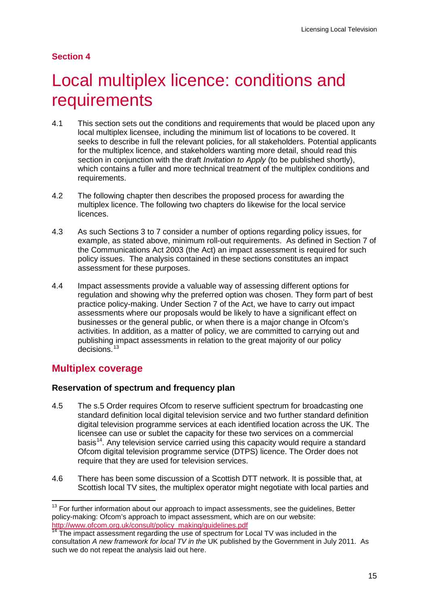## **Section 4**

# <span id="page-17-0"></span>Local multiplex licence: conditions and requirements

- 4.1 This section sets out the conditions and requirements that would be placed upon any local multiplex licensee, including the minimum list of locations to be covered. It seeks to describe in full the relevant policies, for all stakeholders. Potential applicants for the multiplex licence, and stakeholders wanting more detail, should read this section in conjunction with the draft *Invitation to Apply* (to be published shortly), which contains a fuller and more technical treatment of the multiplex conditions and requirements.
- 4.2 The following chapter then describes the proposed process for awarding the multiplex licence. The following two chapters do likewise for the local service licences.
- 4.3 As such Sections 3 to 7 consider a number of options regarding policy issues, for example, as stated above, minimum roll-out requirements. As defined in Section 7 of the Communications Act 2003 (the Act) an impact assessment is required for such policy issues. The analysis contained in these sections constitutes an impact assessment for these purposes.
- 4.4 Impact assessments provide a valuable way of assessing different options for regulation and showing why the preferred option was chosen. They form part of best practice policy-making. Under Section 7 of the Act, we have to carry out impact assessments where our proposals would be likely to have a significant effect on businesses or the general public, or when there is a major change in Ofcom's activities. In addition, as a matter of policy, we are committed to carrying out and publishing impact assessments in relation to the great majority of our policy decisions.<sup>[13](#page-17-1)</sup>

# **Multiplex coverage**

## **Reservation of spectrum and frequency plan**

- 4.5 The s.5 Order requires Ofcom to reserve sufficient spectrum for broadcasting one standard definition local digital television service and two further standard definition digital television programme services at each identified location across the UK. The licensee can use or sublet the capacity for these two services on a commercial basis<sup>[14](#page-17-2)</sup>. Any television service carried using this capacity would require a standard Ofcom digital television programme service (DTPS) licence. The Order does not require that they are used for television services.
- 4.6 There has been some discussion of a Scottish DTT network. It is possible that, at Scottish local TV sites, the multiplex operator might negotiate with local parties and

<span id="page-17-1"></span> $13$  For further information about our approach to impact assessments, see the guidelines, Better policy-making: Ofcom's approach to impact assessment, which are on our website: [http://www.ofcom.org.uk/consult/policy\\_making/guidelines.pdf](http://www.ofcom.org.uk/consult/policy_making/guidelines.pdf)

<span id="page-17-2"></span><sup>&</sup>lt;sup>14</sup> The impact assessment regarding the use of spectrum for Local TV was included in the consultation *A new framework for local TV in the* UK published by the Government in July 2011. As such we do not repeat the analysis laid out here.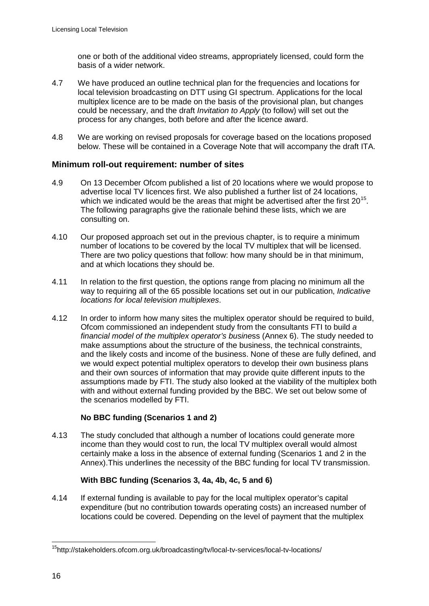one or both of the additional video streams, appropriately licensed, could form the basis of a wider network.

- 4.7 We have produced an outline technical plan for the frequencies and locations for local television broadcasting on DTT using GI spectrum. Applications for the local multiplex licence are to be made on the basis of the provisional plan, but changes could be necessary, and the draft *Invitation to Apply* (to follow) will set out the process for any changes, both before and after the licence award.
- 4.8 We are working on revised proposals for coverage based on the locations proposed below. These will be contained in a Coverage Note that will accompany the draft ITA.

#### **Minimum roll-out requirement: number of sites**

- 4.9 On 13 December Ofcom published a list of 20 locations where we would propose to advertise local TV licences first. We also published a further list of 24 locations, which we indicated would be the areas that might be advertised after the first  $20^{15}$  $20^{15}$  $20^{15}$ . The following paragraphs give the rationale behind these lists, which we are consulting on.
- 4.10 Our proposed approach set out in the previous chapter, is to require a minimum number of locations to be covered by the local TV multiplex that will be licensed. There are two policy questions that follow: how many should be in that minimum, and at which locations they should be.
- 4.11 In relation to the first question, the options range from placing no minimum all the way to requiring all of the 65 possible locations set out in our publication, *Indicative locations for local television multiplexes*.
- 4.12 In order to inform how many sites the multiplex operator should be required to build, Ofcom commissioned an independent study from the consultants FTI to build *a financial model of the multiplex operator's busine*ss (Annex 6). The study needed to make assumptions about the structure of the business, the technical constraints, and the likely costs and income of the business. None of these are fully defined, and we would expect potential multiplex operators to develop their own business plans and their own sources of information that may provide quite different inputs to the assumptions made by FTI. The study also looked at the viability of the multiplex both with and without external funding provided by the BBC. We set out below some of the scenarios modelled by FTI.

#### **No BBC funding (Scenarios 1 and 2)**

4.13 The study concluded that although a number of locations could generate more income than they would cost to run, the local TV multiplex overall would almost certainly make a loss in the absence of external funding (Scenarios 1 and 2 in the Annex).This underlines the necessity of the BBC funding for local TV transmission.

#### **With BBC funding (Scenarios 3, 4a, 4b, 4c, 5 and 6)**

4.14 If external funding is available to pay for the local multiplex operator's capital expenditure (but no contribution towards operating costs) an increased number of locations could be covered. Depending on the level of payment that the multiplex

<span id="page-18-0"></span>15http://stakeholders.ofcom.org.uk/broadcasting/tv/local-tv-services/local-tv-locations/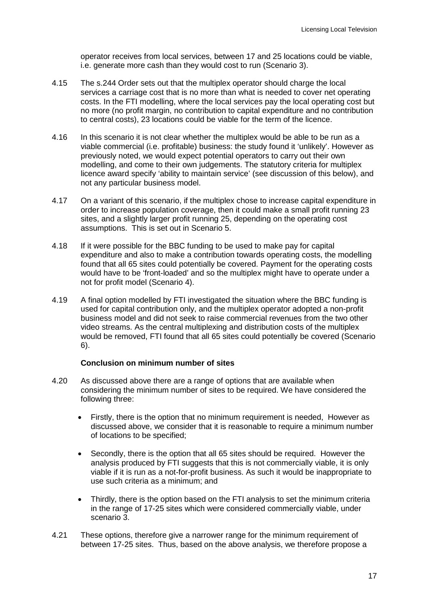operator receives from local services, between 17 and 25 locations could be viable, i.e. generate more cash than they would cost to run (Scenario 3).

- 4.15 The s.244 Order sets out that the multiplex operator should charge the local services a carriage cost that is no more than what is needed to cover net operating costs. In the FTI modelling, where the local services pay the local operating cost but no more (no profit margin, no contribution to capital expenditure and no contribution to central costs), 23 locations could be viable for the term of the licence.
- 4.16 In this scenario it is not clear whether the multiplex would be able to be run as a viable commercial (i.e. profitable) business: the study found it 'unlikely'. However as previously noted, we would expect potential operators to carry out their own modelling, and come to their own judgements. The statutory criteria for multiplex licence award specify 'ability to maintain service' (see discussion of this below), and not any particular business model.
- 4.17 On a variant of this scenario, if the multiplex chose to increase capital expenditure in order to increase population coverage, then it could make a small profit running 23 sites, and a slightly larger profit running 25, depending on the operating cost assumptions. This is set out in Scenario 5.
- 4.18 If it were possible for the BBC funding to be used to make pay for capital expenditure and also to make a contribution towards operating costs, the modelling found that all 65 sites could potentially be covered. Payment for the operating costs would have to be 'front-loaded' and so the multiplex might have to operate under a not for profit model (Scenario 4).
- 4.19 A final option modelled by FTI investigated the situation where the BBC funding is used for capital contribution only, and the multiplex operator adopted a non-profit business model and did not seek to raise commercial revenues from the two other video streams. As the central multiplexing and distribution costs of the multiplex would be removed, FTI found that all 65 sites could potentially be covered (Scenario 6).

#### **Conclusion on minimum number of sites**

- 4.20 As discussed above there are a range of options that are available when considering the minimum number of sites to be required. We have considered the following three:
	- Firstly, there is the option that no minimum requirement is needed, However as discussed above, we consider that it is reasonable to require a minimum number of locations to be specified;
	- Secondly, there is the option that all 65 sites should be required. However the analysis produced by FTI suggests that this is not commercially viable, it is only viable if it is run as a not-for-profit business. As such it would be inappropriate to use such criteria as a minimum; and
	- Thirdly, there is the option based on the FTI analysis to set the minimum criteria in the range of 17-25 sites which were considered commercially viable, under scenario 3.
- 4.21 These options, therefore give a narrower range for the minimum requirement of between 17-25 sites. Thus, based on the above analysis, we therefore propose a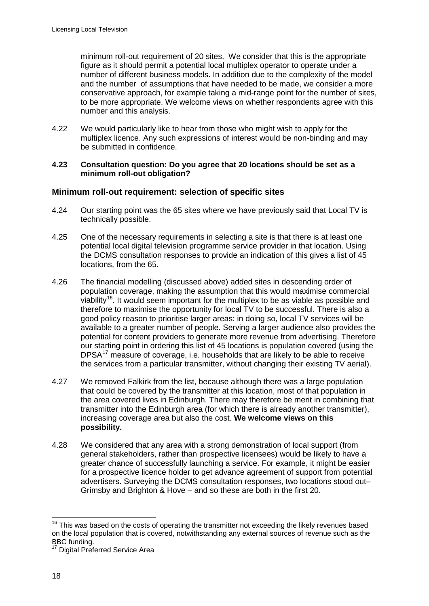minimum roll-out requirement of 20 sites. We consider that this is the appropriate figure as it should permit a potential local multiplex operator to operate under a number of different business models. In addition due to the complexity of the model and the number of assumptions that have needed to be made, we consider a more conservative approach, for example taking a mid-range point for the number of sites, to be more appropriate. We welcome views on whether respondents agree with this number and this analysis.

4.22 We would particularly like to hear from those who might wish to apply for the multiplex licence. Any such expressions of interest would be non-binding and may be submitted in confidence.

#### **4.23 Consultation question: Do you agree that 20 locations should be set as a minimum roll-out obligation?**

## **Minimum roll-out requirement: selection of specific sites**

- 4.24 Our starting point was the 65 sites where we have previously said that Local TV is technically possible.
- 4.25 One of the necessary requirements in selecting a site is that there is at least one potential local digital television programme service provider in that location. Using the DCMS consultation responses to provide an indication of this gives a list of 45 locations, from the 65.
- 4.26 The financial modelling (discussed above) added sites in descending order of population coverage, making the assumption that this would maximise commercial viability<sup>[16](#page-20-0)</sup>. It would seem important for the multiplex to be as viable as possible and therefore to maximise the opportunity for local TV to be successful. There is also a good policy reason to prioritise larger areas: in doing so, local TV services will be available to a greater number of people. Serving a larger audience also provides the potential for content providers to generate more revenue from advertising. Therefore our starting point in ordering this list of 45 locations is population covered (using the DPSA<sup>[17](#page-20-1)</sup> measure of coverage, i.e. households that are likely to be able to receive the services from a particular transmitter, without changing their existing TV aerial).
- 4.27 We removed Falkirk from the list, because although there was a large population that could be covered by the transmitter at this location, most of that population in the area covered lives in Edinburgh. There may therefore be merit in combining that transmitter into the Edinburgh area (for which there is already another transmitter), increasing coverage area but also the cost. **We welcome views on this possibility.**
- 4.28 We considered that any area with a strong demonstration of local support (from general stakeholders, rather than prospective licensees) would be likely to have a greater chance of successfully launching a service. For example, it might be easier for a prospective licence holder to get advance agreement of support from potential advertisers. Surveying the DCMS consultation responses, two locations stood out– Grimsby and Brighton & Hove – and so these are both in the first 20.

<span id="page-20-0"></span><sup>&</sup>lt;sup>16</sup> This was based on the costs of operating the transmitter not exceeding the likely revenues based on the local population that is covered, notwithstanding any external sources of revenue such as the BBC funding.

<span id="page-20-1"></span>Digital Preferred Service Area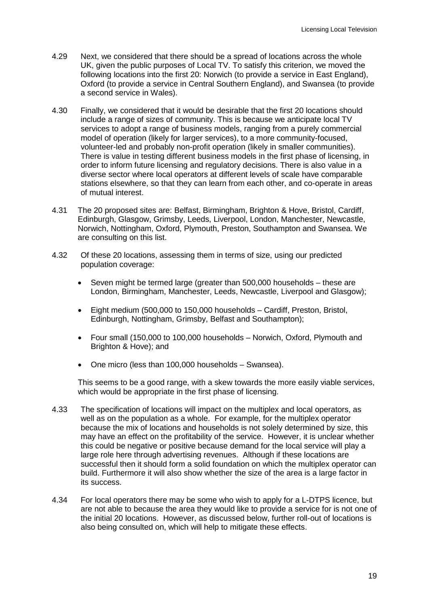- 4.29 Next, we considered that there should be a spread of locations across the whole UK, given the public purposes of Local TV. To satisfy this criterion, we moved the following locations into the first 20: Norwich (to provide a service in East England), Oxford (to provide a service in Central Southern England), and Swansea (to provide a second service in Wales).
- 4.30 Finally, we considered that it would be desirable that the first 20 locations should include a range of sizes of community. This is because we anticipate local TV services to adopt a range of business models, ranging from a purely commercial model of operation (likely for larger services), to a more community-focused, volunteer-led and probably non-profit operation (likely in smaller communities). There is value in testing different business models in the first phase of licensing, in order to inform future licensing and regulatory decisions. There is also value in a diverse sector where local operators at different levels of scale have comparable stations elsewhere, so that they can learn from each other, and co-operate in areas of mutual interest.
- 4.31 The 20 proposed sites are: Belfast, Birmingham, Brighton & Hove, Bristol, Cardiff, Edinburgh, Glasgow, Grimsby, Leeds, Liverpool, London, Manchester, Newcastle, Norwich, Nottingham, Oxford, Plymouth, Preston, Southampton and Swansea. We are consulting on this list.
- 4.32 Of these 20 locations, assessing them in terms of size, using our predicted population coverage:
	- Seven might be termed large (greater than 500,000 households these are London, Birmingham, Manchester, Leeds, Newcastle, Liverpool and Glasgow);
	- Eight medium (500,000 to 150,000 households Cardiff, Preston, Bristol, Edinburgh, Nottingham, Grimsby, Belfast and Southampton);
	- Four small (150,000 to 100,000 households Norwich, Oxford, Plymouth and Brighton & Hove); and
	- One micro (less than 100,000 households Swansea).

This seems to be a good range, with a skew towards the more easily viable services, which would be appropriate in the first phase of licensing.

- 4.33 The specification of locations will impact on the multiplex and local operators, as well as on the population as a whole. For example, for the multiplex operator because the mix of locations and households is not solely determined by size, this may have an effect on the profitability of the service. However, it is unclear whether this could be negative or positive because demand for the local service will play a large role here through advertising revenues. Although if these locations are successful then it should form a solid foundation on which the multiplex operator can build. Furthermore it will also show whether the size of the area is a large factor in its success.
- 4.34 For local operators there may be some who wish to apply for a L-DTPS licence, but are not able to because the area they would like to provide a service for is not one of the initial 20 locations. However, as discussed below, further roll-out of locations is also being consulted on, which will help to mitigate these effects.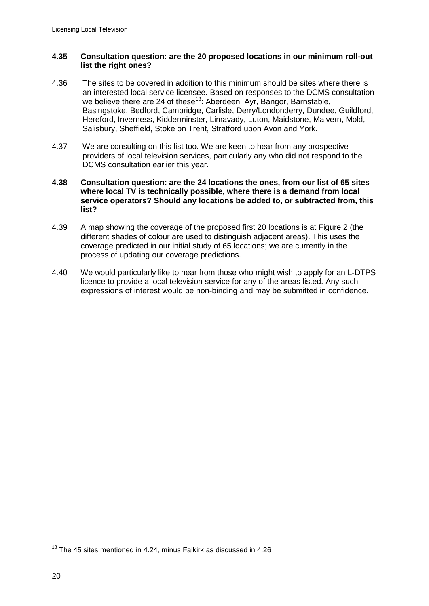#### **4.35 Consultation question: are the 20 proposed locations in our minimum roll-out list the right ones?**

- 4.36 The sites to be covered in addition to this minimum should be sites where there is an interested local service licensee. Based on responses to the DCMS consultation we believe there are 24 of these<sup>[18](#page-22-0)</sup>: Aberdeen, Ayr, Bangor, Barnstable, Basingstoke, Bedford, Cambridge, Carlisle, Derry/Londonderry, Dundee, Guildford, Hereford, Inverness, Kidderminster, Limavady, Luton, Maidstone, Malvern, Mold, Salisbury, Sheffield, Stoke on Trent, Stratford upon Avon and York.
- 4.37 We are consulting on this list too. We are keen to hear from any prospective providers of local television services, particularly any who did not respond to the DCMS consultation earlier this year.

#### **4.38 Consultation question: are the 24 locations the ones, from our list of 65 sites where local TV is technically possible, where there is a demand from local service operators? Should any locations be added to, or subtracted from, this list?**

- 4.39 A map showing the coverage of the proposed first 20 locations is at Figure 2 (the different shades of colour are used to distinguish adjacent areas). This uses the coverage predicted in our initial study of 65 locations; we are currently in the process of updating our coverage predictions.
- 4.40 We would particularly like to hear from those who might wish to apply for an L-DTPS licence to provide a local television service for any of the areas listed. Any such expressions of interest would be non-binding and may be submitted in confidence.

<span id="page-22-0"></span><sup>&</sup>lt;sup>18</sup> The 45 sites mentioned in 4.24, minus Falkirk as discussed in 4.26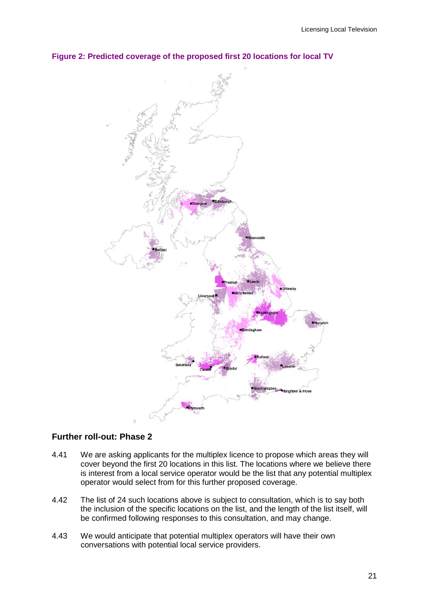

#### **Figure 2: Predicted coverage of the proposed first 20 locations for local TV**

#### **Further roll-out: Phase 2**

- 4.41 We are asking applicants for the multiplex licence to propose which areas they will cover beyond the first 20 locations in this list. The locations where we believe there is interest from a local service operator would be the list that any potential multiplex operator would select from for this further proposed coverage.
- 4.42 The list of 24 such locations above is subject to consultation, which is to say both the inclusion of the specific locations on the list, and the length of the list itself, will be confirmed following responses to this consultation, and may change.
- 4.43 We would anticipate that potential multiplex operators will have their own conversations with potential local service providers.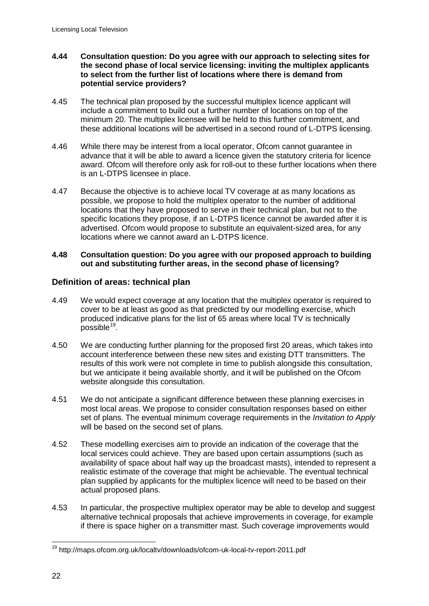- **4.44 Consultation question: Do you agree with our approach to selecting sites for the second phase of local service licensing: inviting the multiplex applicants to select from the further list of locations where there is demand from potential service providers?**
- 4.45 The technical plan proposed by the successful multiplex licence applicant will include a commitment to build out a further number of locations on top of the minimum 20. The multiplex licensee will be held to this further commitment, and these additional locations will be advertised in a second round of L-DTPS licensing.
- 4.46 While there may be interest from a local operator, Ofcom cannot guarantee in advance that it will be able to award a licence given the statutory criteria for licence award. Ofcom will therefore only ask for roll-out to these further locations when there is an L-DTPS licensee in place.
- 4.47 Because the objective is to achieve local TV coverage at as many locations as possible, we propose to hold the multiplex operator to the number of additional locations that they have proposed to serve in their technical plan, but not to the specific locations they propose, if an L-DTPS licence cannot be awarded after it is advertised. Ofcom would propose to substitute an equivalent-sized area, for any locations where we cannot award an L-DTPS licence.

#### **4.48 Consultation question: Do you agree with our proposed approach to building out and substituting further areas, in the second phase of licensing?**

## **Definition of areas: technical plan**

- 4.49 We would expect coverage at any location that the multiplex operator is required to cover to be at least as good as that predicted by our modelling exercise, which produced indicative plans for the list of 65 areas where local TV is technically possible<sup>[19](#page-24-0)</sup>.
- 4.50 We are conducting further planning for the proposed first 20 areas, which takes into account interference between these new sites and existing DTT transmitters. The results of this work were not complete in time to publish alongside this consultation, but we anticipate it being available shortly, and it will be published on the Ofcom website alongside this consultation.
- 4.51 We do not anticipate a significant difference between these planning exercises in most local areas. We propose to consider consultation responses based on either set of plans. The eventual minimum coverage requirements in the *Invitation to Apply* will be based on the second set of plans*.*
- 4.52 These modelling exercises aim to provide an indication of the coverage that the local services could achieve. They are based upon certain assumptions (such as availability of space about half way up the broadcast masts), intended to represent a realistic estimate of the coverage that might be achievable. The eventual technical plan supplied by applicants for the multiplex licence will need to be based on their actual proposed plans.
- 4.53 In particular, the prospective multiplex operator may be able to develop and suggest alternative technical proposals that achieve improvements in coverage, for example if there is space higher on a transmitter mast. Such coverage improvements would

<span id="page-24-0"></span><sup>19</sup> http://maps.ofcom.org.uk/localtv/downloads/ofcom-uk-local-tv-report-2011.pdf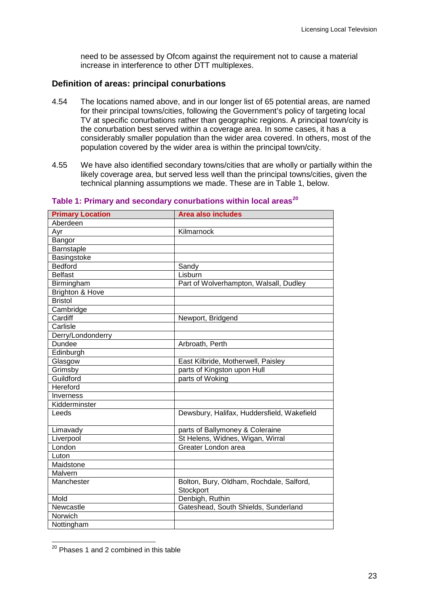need to be assessed by Ofcom against the requirement not to cause a material increase in interference to other DTT multiplexes.

#### **Definition of areas: principal conurbations**

- 4.54 The locations named above, and in our longer list of 65 potential areas, are named for their principal towns/cities, following the Government's policy of targeting local TV at specific conurbations rather than geographic regions. A principal town/city is the conurbation best served within a coverage area. In some cases, it has a considerably smaller population than the wider area covered. In others, most of the population covered by the wider area is within the principal town/city.
- 4.55 We have also identified secondary towns/cities that are wholly or partially within the likely coverage area, but served less well than the principal towns/cities, given the technical planning assumptions we made. These are in Table 1, below.

| <b>Primary Location</b>    | <b>Area also includes</b>                             |
|----------------------------|-------------------------------------------------------|
| Aberdeen                   |                                                       |
| Ayr                        | Kilmarnock                                            |
| Bangor                     |                                                       |
| Barnstaple                 |                                                       |
| Basingstoke                |                                                       |
| <b>Bedford</b>             | Sandy                                                 |
| <b>Belfast</b>             | Lisburn                                               |
| Birmingham                 | Part of Wolverhampton, Walsall, Dudley                |
| <b>Brighton &amp; Hove</b> |                                                       |
| <b>Bristol</b>             |                                                       |
| Cambridge                  |                                                       |
| Cardiff                    | Newport, Bridgend                                     |
| Carlisle                   |                                                       |
| Derry/Londonderry          |                                                       |
| Dundee                     | Arbroath, Perth                                       |
| Edinburgh                  |                                                       |
| Glasgow                    | East Kilbride, Motherwell, Paisley                    |
| Grimsby                    | parts of Kingston upon Hull                           |
| Guildford                  | parts of Woking                                       |
| Hereford                   |                                                       |
| Inverness                  |                                                       |
| Kidderminster              |                                                       |
| Leeds                      | Dewsbury, Halifax, Huddersfield, Wakefield            |
| Limavady                   | parts of Ballymoney & Coleraine                       |
| Liverpool                  | St Helens, Widnes, Wigan, Wirral                      |
| London                     | Greater London area                                   |
| Luton                      |                                                       |
| Maidstone                  |                                                       |
| Malvern                    |                                                       |
| Manchester                 | Bolton, Bury, Oldham, Rochdale, Salford,<br>Stockport |
| Mold                       | Denbigh, Ruthin                                       |
| Newcastle                  | Gateshead, South Shields, Sunderland                  |
| Norwich                    |                                                       |
| Nottingham                 |                                                       |

#### **Table 1: Primary and secondary conurbations within local areas[20](#page-25-0)**

<span id="page-25-0"></span> $20$  Phases 1 and 2 combined in this table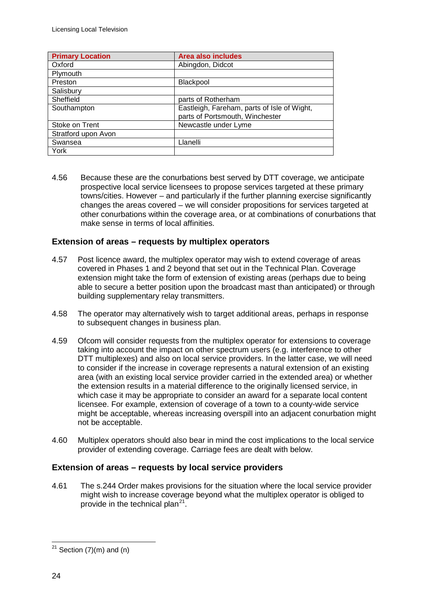| <b>Primary Location</b> | <b>Area also includes</b>                   |
|-------------------------|---------------------------------------------|
| Oxford                  | Abingdon, Didcot                            |
| Plymouth                |                                             |
| Preston                 | Blackpool                                   |
| Salisbury               |                                             |
| Sheffield               | parts of Rotherham                          |
| Southampton             | Eastleigh, Fareham, parts of Isle of Wight, |
|                         | parts of Portsmouth, Winchester             |
| Stoke on Trent          | Newcastle under Lyme                        |
| Stratford upon Avon     |                                             |
| Swansea                 | Llanelli                                    |
| York                    |                                             |

4.56 Because these are the conurbations best served by DTT coverage, we anticipate prospective local service licensees to propose services targeted at these primary towns/cities. However – and particularly if the further planning exercise significantly changes the areas covered – we will consider propositions for services targeted at other conurbations within the coverage area, or at combinations of conurbations that make sense in terms of local affinities.

#### **Extension of areas – requests by multiplex operators**

- 4.57 Post licence award, the multiplex operator may wish to extend coverage of areas covered in Phases 1 and 2 beyond that set out in the Technical Plan. Coverage extension might take the form of extension of existing areas (perhaps due to being able to secure a better position upon the broadcast mast than anticipated) or through building supplementary relay transmitters.
- 4.58 The operator may alternatively wish to target additional areas, perhaps in response to subsequent changes in business plan.
- 4.59 Ofcom will consider requests from the multiplex operator for extensions to coverage taking into account the impact on other spectrum users (e.g. interference to other DTT multiplexes) and also on local service providers. In the latter case, we will need to consider if the increase in coverage represents a natural extension of an existing area (with an existing local service provider carried in the extended area) or whether the extension results in a material difference to the originally licensed service, in which case it may be appropriate to consider an award for a separate local content licensee. For example, extension of coverage of a town to a county-wide service might be acceptable, whereas increasing overspill into an adjacent conurbation might not be acceptable.
- 4.60 Multiplex operators should also bear in mind the cost implications to the local service provider of extending coverage. Carriage fees are dealt with below.

## **Extension of areas – requests by local service providers**

4.61 The s.244 Order makes provisions for the situation where the local service provider might wish to increase coverage beyond what the multiplex operator is obliged to provide in the technical plan<sup>[21](#page-26-0)</sup>.

<span id="page-26-0"></span> $21$  Section (7)(m) and (n)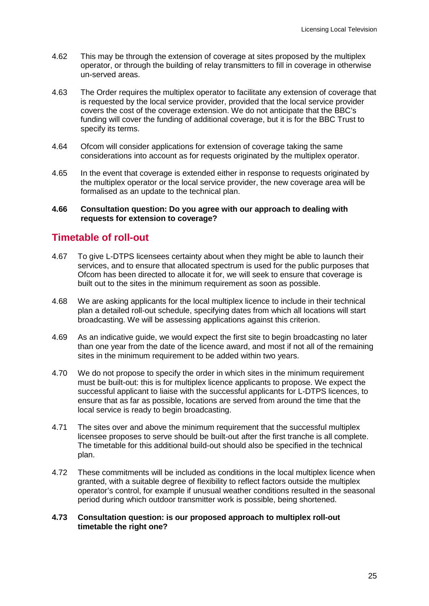- 4.62 This may be through the extension of coverage at sites proposed by the multiplex operator, or through the building of relay transmitters to fill in coverage in otherwise un-served areas.
- 4.63 The Order requires the multiplex operator to facilitate any extension of coverage that is requested by the local service provider, provided that the local service provider covers the cost of the coverage extension. We do not anticipate that the BBC's funding will cover the funding of additional coverage, but it is for the BBC Trust to specify its terms.
- 4.64 Ofcom will consider applications for extension of coverage taking the same considerations into account as for requests originated by the multiplex operator.
- 4.65 In the event that coverage is extended either in response to requests originated by the multiplex operator or the local service provider, the new coverage area will be formalised as an update to the technical plan.

#### **4.66 Consultation question: Do you agree with our approach to dealing with requests for extension to coverage?**

## **Timetable of roll-out**

- 4.67 To give L-DTPS licensees certainty about when they might be able to launch their services, and to ensure that allocated spectrum is used for the public purposes that Ofcom has been directed to allocate it for, we will seek to ensure that coverage is built out to the sites in the minimum requirement as soon as possible.
- 4.68 We are asking applicants for the local multiplex licence to include in their technical plan a detailed roll-out schedule, specifying dates from which all locations will start broadcasting. We will be assessing applications against this criterion.
- 4.69 As an indicative guide, we would expect the first site to begin broadcasting no later than one year from the date of the licence award, and most if not all of the remaining sites in the minimum requirement to be added within two years.
- 4.70 We do not propose to specify the order in which sites in the minimum requirement must be built-out: this is for multiplex licence applicants to propose. We expect the successful applicant to liaise with the successful applicants for L-DTPS licences, to ensure that as far as possible, locations are served from around the time that the local service is ready to begin broadcasting.
- 4.71 The sites over and above the minimum requirement that the successful multiplex licensee proposes to serve should be built-out after the first tranche is all complete. The timetable for this additional build-out should also be specified in the technical plan.
- 4.72 These commitments will be included as conditions in the local multiplex licence when granted, with a suitable degree of flexibility to reflect factors outside the multiplex operator's control, for example if unusual weather conditions resulted in the seasonal period during which outdoor transmitter work is possible, being shortened.

#### **4.73 Consultation question: is our proposed approach to multiplex roll-out timetable the right one?**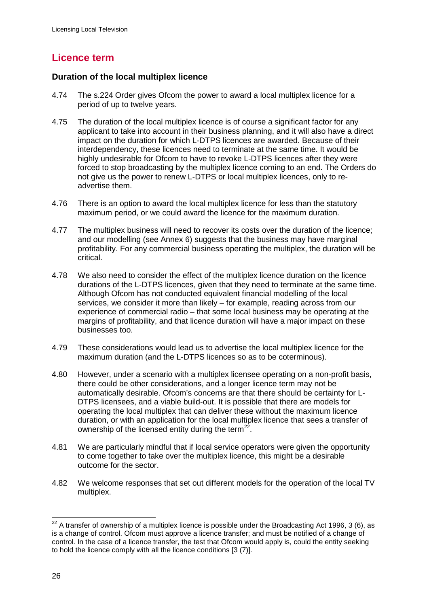# **Licence term**

## **Duration of the local multiplex licence**

- 4.74 The s.224 Order gives Ofcom the power to award a local multiplex licence for a period of up to twelve years.
- 4.75 The duration of the local multiplex licence is of course a significant factor for any applicant to take into account in their business planning, and it will also have a direct impact on the duration for which L-DTPS licences are awarded. Because of their interdependency, these licences need to terminate at the same time. It would be highly undesirable for Ofcom to have to revoke L-DTPS licences after they were forced to stop broadcasting by the multiplex licence coming to an end. The Orders do not give us the power to renew L-DTPS or local multiplex licences, only to readvertise them.
- 4.76 There is an option to award the local multiplex licence for less than the statutory maximum period, or we could award the licence for the maximum duration.
- 4.77 The multiplex business will need to recover its costs over the duration of the licence; and our modelling (see Annex 6) suggests that the business may have marginal profitability. For any commercial business operating the multiplex, the duration will be critical.
- 4.78 We also need to consider the effect of the multiplex licence duration on the licence durations of the L-DTPS licences, given that they need to terminate at the same time. Although Ofcom has not conducted equivalent financial modelling of the local services, we consider it more than likely – for example, reading across from our experience of commercial radio – that some local business may be operating at the margins of profitability, and that licence duration will have a major impact on these businesses too.
- 4.79 These considerations would lead us to advertise the local multiplex licence for the maximum duration (and the L-DTPS licences so as to be coterminous).
- 4.80 However, under a scenario with a multiplex licensee operating on a non-profit basis, there could be other considerations, and a longer licence term may not be automatically desirable. Ofcom's concerns are that there should be certainty for L-DTPS licensees, and a viable build-out. It is possible that there are models for operating the local multiplex that can deliver these without the maximum licence duration, or with an application for the local multiplex licence that sees a transfer of ownership of the licensed entity during the term $^{22}$  $^{22}$  $^{22}$ .
- 4.81 We are particularly mindful that if local service operators were given the opportunity to come together to take over the multiplex licence, this might be a desirable outcome for the sector.
- 4.82 We welcome responses that set out different models for the operation of the local TV multiplex.

<span id="page-28-0"></span> $22$  A transfer of ownership of a multiplex licence is possible under the Broadcasting Act 1996, 3 (6), as is a change of control. Ofcom must approve a licence transfer; and must be notified of a change of control. In the case of a licence transfer, the test that Ofcom would apply is, could the entity seeking to hold the licence comply with all the licence conditions [3 (7)].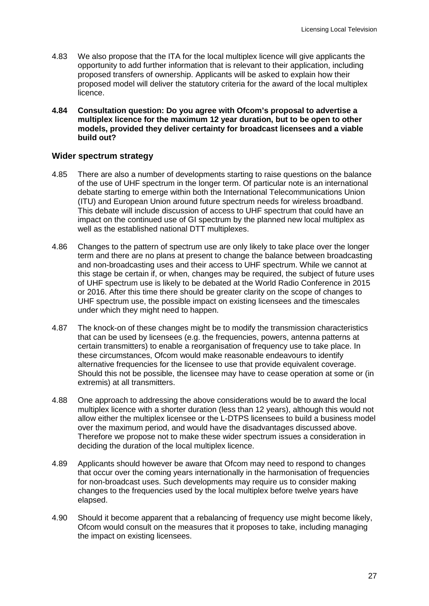- 4.83 We also propose that the ITA for the local multiplex licence will give applicants the opportunity to add further information that is relevant to their application, including proposed transfers of ownership. Applicants will be asked to explain how their proposed model will deliver the statutory criteria for the award of the local multiplex licence.
- **4.84 Consultation question: Do you agree with Ofcom's proposal to advertise a multiplex licence for the maximum 12 year duration, but to be open to other models, provided they deliver certainty for broadcast licensees and a viable build out?**

#### **Wider spectrum strategy**

- 4.85 There are also a number of developments starting to raise questions on the balance of the use of UHF spectrum in the longer term. Of particular note is an international debate starting to emerge within both the International Telecommunications Union (ITU) and European Union around future spectrum needs for wireless broadband. This debate will include discussion of access to UHF spectrum that could have an impact on the continued use of GI spectrum by the planned new local multiplex as well as the established national DTT multiplexes.
- 4.86 Changes to the pattern of spectrum use are only likely to take place over the longer term and there are no plans at present to change the balance between broadcasting and non-broadcasting uses and their access to UHF spectrum. While we cannot at this stage be certain if, or when, changes may be required, the subject of future uses of UHF spectrum use is likely to be debated at the World Radio Conference in 2015 or 2016. After this time there should be greater clarity on the scope of changes to UHF spectrum use, the possible impact on existing licensees and the timescales under which they might need to happen.
- 4.87 The knock-on of these changes might be to modify the transmission characteristics that can be used by licensees (e.g. the frequencies, powers, antenna patterns at certain transmitters) to enable a reorganisation of frequency use to take place. In these circumstances, Ofcom would make reasonable endeavours to identify alternative frequencies for the licensee to use that provide equivalent coverage. Should this not be possible, the licensee may have to cease operation at some or (in extremis) at all transmitters.
- 4.88 One approach to addressing the above considerations would be to award the local multiplex licence with a shorter duration (less than 12 years), although this would not allow either the multiplex licensee or the L-DTPS licensees to build a business model over the maximum period, and would have the disadvantages discussed above. Therefore we propose not to make these wider spectrum issues a consideration in deciding the duration of the local multiplex licence.
- 4.89 Applicants should however be aware that Ofcom may need to respond to changes that occur over the coming years internationally in the harmonisation of frequencies for non-broadcast uses. Such developments may require us to consider making changes to the frequencies used by the local multiplex before twelve years have elapsed.
- 4.90 Should it become apparent that a rebalancing of frequency use might become likely, Ofcom would consult on the measures that it proposes to take, including managing the impact on existing licensees.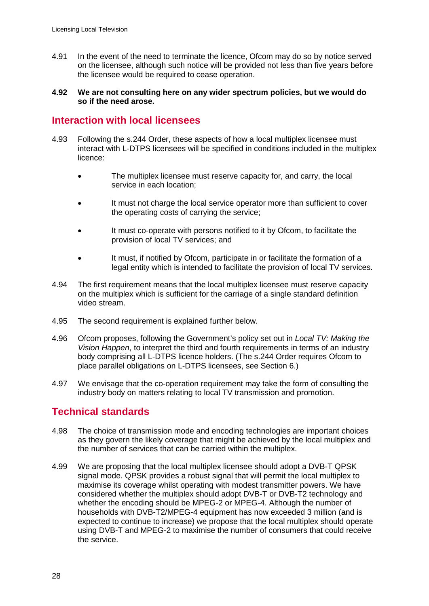- 4.91 In the event of the need to terminate the licence, Ofcom may do so by notice served on the licensee, although such notice will be provided not less than five years before the licensee would be required to cease operation.
- **4.92 We are not consulting here on any wider spectrum policies, but we would do so if the need arose.**

# **Interaction with local licensees**

- 4.93 Following the s.244 Order, these aspects of how a local multiplex licensee must interact with L-DTPS licensees will be specified in conditions included in the multiplex licence:
	- The multiplex licensee must reserve capacity for, and carry, the local service in each location;
	- It must not charge the local service operator more than sufficient to cover the operating costs of carrying the service;
	- It must co-operate with persons notified to it by Ofcom, to facilitate the provision of local TV services; and
	- It must, if notified by Ofcom, participate in or facilitate the formation of a legal entity which is intended to facilitate the provision of local TV services.
- 4.94 The first requirement means that the local multiplex licensee must reserve capacity on the multiplex which is sufficient for the carriage of a single standard definition video stream.
- 4.95 The second requirement is explained further below.
- 4.96 Ofcom proposes, following the Government's policy set out in *Local TV: Making the Vision Happen*, to interpret the third and fourth requirements in terms of an industry body comprising all L-DTPS licence holders. (The s.244 Order requires Ofcom to place parallel obligations on L-DTPS licensees, see Section 6.)
- 4.97 We envisage that the co-operation requirement may take the form of consulting the industry body on matters relating to local TV transmission and promotion.

# **Technical standards**

- 4.98 The choice of transmission mode and encoding technologies are important choices as they govern the likely coverage that might be achieved by the local multiplex and the number of services that can be carried within the multiplex.
- 4.99 We are proposing that the local multiplex licensee should adopt a DVB-T QPSK signal mode. QPSK provides a robust signal that will permit the local multiplex to maximise its coverage whilst operating with modest transmitter powers. We have considered whether the multiplex should adopt DVB-T or DVB-T2 technology and whether the encoding should be MPEG-2 or MPEG-4. Although the number of households with DVB-T2/MPEG-4 equipment has now exceeded 3 million (and is expected to continue to increase) we propose that the local multiplex should operate using DVB-T and MPEG-2 to maximise the number of consumers that could receive the service.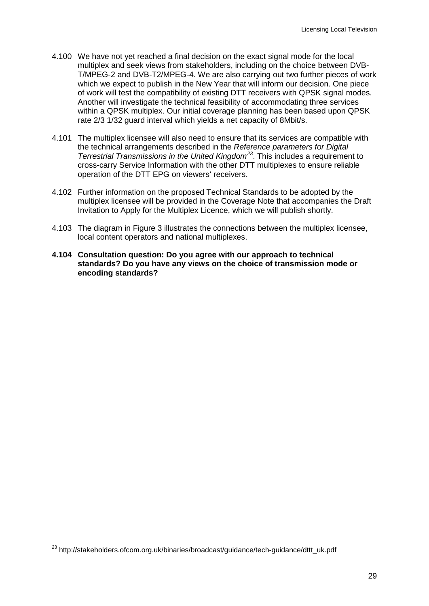- 4.100 We have not yet reached a final decision on the exact signal mode for the local multiplex and seek views from stakeholders, including on the choice between DVB-T/MPEG-2 and DVB-T2/MPEG-4. We are also carrying out two further pieces of work which we expect to publish in the New Year that will inform our decision. One piece of work will test the compatibility of existing DTT receivers with QPSK signal modes. Another will investigate the technical feasibility of accommodating three services within a QPSK multiplex. Our initial coverage planning has been based upon QPSK rate 2/3 1/32 guard interval which yields a net capacity of 8Mbit/s.
- 4.101 The multiplex licensee will also need to ensure that its services are compatible with the technical arrangements described in the *Reference parameters for Digital Terrestrial Transmissions in the United Kingdom[23](#page-31-0)* . This includes a requirement to cross-carry Service Information with the other DTT multiplexes to ensure reliable operation of the DTT EPG on viewers' receivers.
- 4.102 Further information on the proposed Technical Standards to be adopted by the multiplex licensee will be provided in the Coverage Note that accompanies the Draft Invitation to Apply for the Multiplex Licence, which we will publish shortly.
- 4.103 The diagram in Figure 3 illustrates the connections between the multiplex licensee, local content operators and national multiplexes.
- **4.104 Consultation question: Do you agree with our approach to technical standards? Do you have any views on the choice of transmission mode or encoding standards?**

<span id="page-31-0"></span><sup>23</sup> http://stakeholders.ofcom.org.uk/binaries/broadcast/guidance/tech-guidance/dttt\_uk.pdf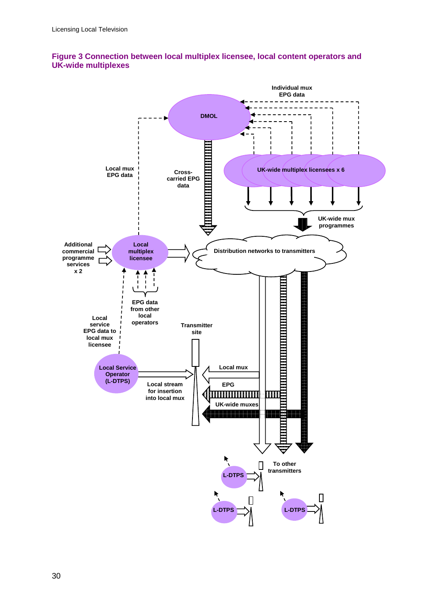

#### **Figure 3 Connection between local multiplex licensee, local content operators and UK-wide multiplexes**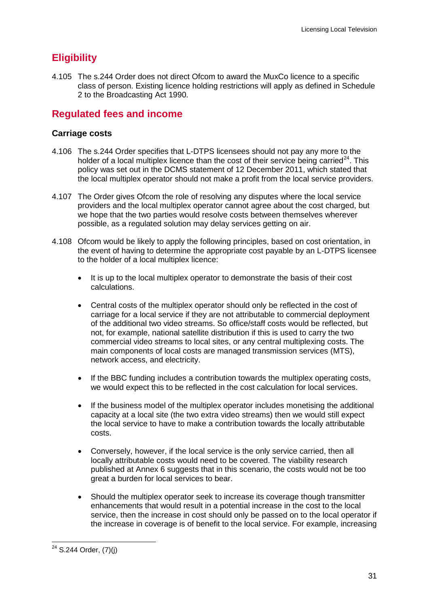# **Eligibility**

4.105 The s.244 Order does not direct Ofcom to award the MuxCo licence to a specific class of person. Existing licence holding restrictions will apply as defined in Schedule 2 to the Broadcasting Act 1990.

# **Regulated fees and income**

## **Carriage costs**

- 4.106 The s.244 Order specifies that L-DTPS licensees should not pay any more to the holder of a local multiplex licence than the cost of their service being carried<sup>[24](#page-33-0)</sup>. This policy was set out in the DCMS statement of 12 December 2011, which stated that the local multiplex operator should not make a profit from the local service providers.
- 4.107 The Order gives Ofcom the role of resolving any disputes where the local service providers and the local multiplex operator cannot agree about the cost charged, but we hope that the two parties would resolve costs between themselves wherever possible, as a regulated solution may delay services getting on air.
- 4.108 Ofcom would be likely to apply the following principles, based on cost orientation, in the event of having to determine the appropriate cost payable by an L-DTPS licensee to the holder of a local multiplex licence:
	- It is up to the local multiplex operator to demonstrate the basis of their cost calculations.
	- Central costs of the multiplex operator should only be reflected in the cost of carriage for a local service if they are not attributable to commercial deployment of the additional two video streams. So office/staff costs would be reflected, but not, for example, national satellite distribution if this is used to carry the two commercial video streams to local sites, or any central multiplexing costs. The main components of local costs are managed transmission services (MTS). network access, and electricity.
	- If the BBC funding includes a contribution towards the multiplex operating costs, we would expect this to be reflected in the cost calculation for local services.
	- If the business model of the multiplex operator includes monetising the additional capacity at a local site (the two extra video streams) then we would still expect the local service to have to make a contribution towards the locally attributable costs.
	- Conversely, however, if the local service is the only service carried, then all locally attributable costs would need to be covered. The viability research published at Annex 6 suggests that in this scenario, the costs would not be too great a burden for local services to bear.
	- Should the multiplex operator seek to increase its coverage though transmitter enhancements that would result in a potential increase in the cost to the local service, then the increase in cost should only be passed on to the local operator if the increase in coverage is of benefit to the local service. For example, increasing

<span id="page-33-0"></span> $24$  S.244 Order, (7)(j)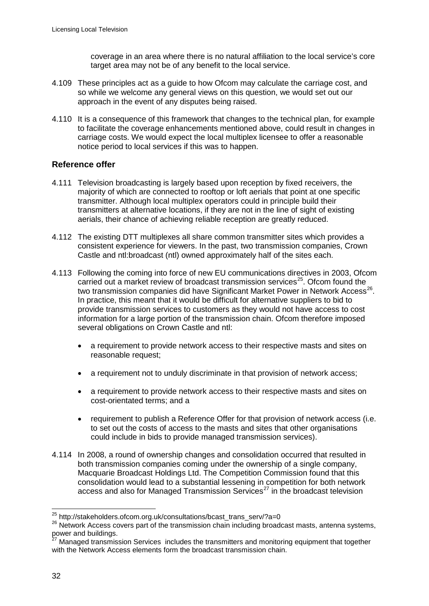coverage in an area where there is no natural affiliation to the local service's core target area may not be of any benefit to the local service.

- 4.109 These principles act as a guide to how Ofcom may calculate the carriage cost, and so while we welcome any general views on this question, we would set out our approach in the event of any disputes being raised.
- 4.110 It is a consequence of this framework that changes to the technical plan, for example to facilitate the coverage enhancements mentioned above, could result in changes in carriage costs. We would expect the local multiplex licensee to offer a reasonable notice period to local services if this was to happen.

## **Reference offer**

- 4.111 Television broadcasting is largely based upon reception by fixed receivers, the majority of which are connected to rooftop or loft aerials that point at one specific transmitter. Although local multiplex operators could in principle build their transmitters at alternative locations, if they are not in the line of sight of existing aerials, their chance of achieving reliable reception are greatly reduced.
- 4.112 The existing DTT multiplexes all share common transmitter sites which provides a consistent experience for viewers. In the past, two transmission companies, Crown Castle and ntl:broadcast (ntl) owned approximately half of the sites each.
- 4.113 Following the coming into force of new EU communications directives in 2003, Ofcom carried out a market review of broadcast transmission services $25$ . Ofcom found the two transmission companies did have Significant Market Power in Network Access<sup>[26](#page-34-1)</sup>. In practice, this meant that it would be difficult for alternative suppliers to bid to provide transmission services to customers as they would not have access to cost information for a large portion of the transmission chain. Ofcom therefore imposed several obligations on Crown Castle and ntl:
	- a requirement to provide network access to their respective masts and sites on reasonable request;
	- a requirement not to unduly discriminate in that provision of network access;
	- a requirement to provide network access to their respective masts and sites on cost-orientated terms; and a
	- requirement to publish a Reference Offer for that provision of network access (i.e. to set out the costs of access to the masts and sites that other organisations could include in bids to provide managed transmission services).
- 4.114 In 2008, a round of ownership changes and consolidation occurred that resulted in both transmission companies coming under the ownership of a single company, Macquarie Broadcast Holdings Ltd. The Competition Commission found that this consolidation would lead to a substantial lessening in competition for both network access and also for Managed Transmission Services<sup>[27](#page-34-2)</sup> in the broadcast television

<span id="page-34-1"></span><span id="page-34-0"></span><sup>&</sup>lt;sup>25</sup> http://stakeholders.ofcom.org.uk/consultations/bcast\_trans\_serv/?a=0<br><sup>26</sup> Network Access covers part of the transmission chain including broadcast masts, antenna systems, power and buildings.

<span id="page-34-2"></span>Managed transmission Services includes the transmitters and monitoring equipment that together with the Network Access elements form the broadcast transmission chain.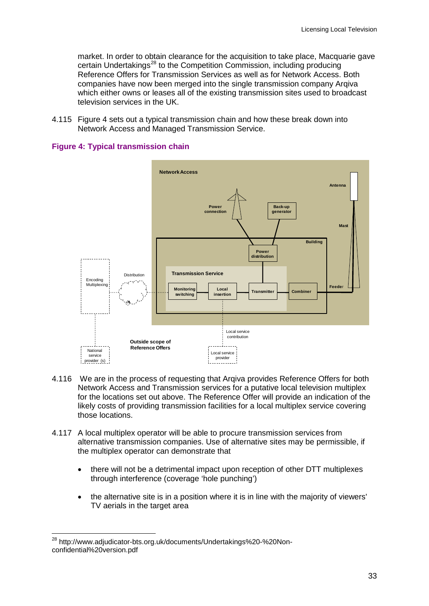market. In order to obtain clearance for the acquisition to take place, Macquarie gave certain Undertakings<sup>[28](#page-35-0)</sup> to the Competition Commission, including producing Reference Offers for Transmission Services as well as for Network Access. Both companies have now been merged into the single transmission company Arqiva which either owns or leases all of the existing transmission sites used to broadcast television services in the UK.

4.115 Figure 4 sets out a typical transmission chain and how these break down into Network Access and Managed Transmission Service.





- 4.116 We are in the process of requesting that Arqiva provides Reference Offers for both Network Access and Transmission services for a putative local television multiplex for the locations set out above. The Reference Offer will provide an indication of the likely costs of providing transmission facilities for a local multiplex service covering those locations.
- 4.117 A local multiplex operator will be able to procure transmission services from alternative transmission companies. Use of alternative sites may be permissible, if the multiplex operator can demonstrate that
	- there will not be a detrimental impact upon reception of other DTT multiplexes through interference (coverage 'hole punching')
	- the alternative site is in a position where it is in line with the majority of viewers' TV aerials in the target area

<span id="page-35-0"></span><sup>28</sup> http://www.adjudicator-bts.org.uk/documents/Undertakings%20-%20Nonconfidential%20version.pdf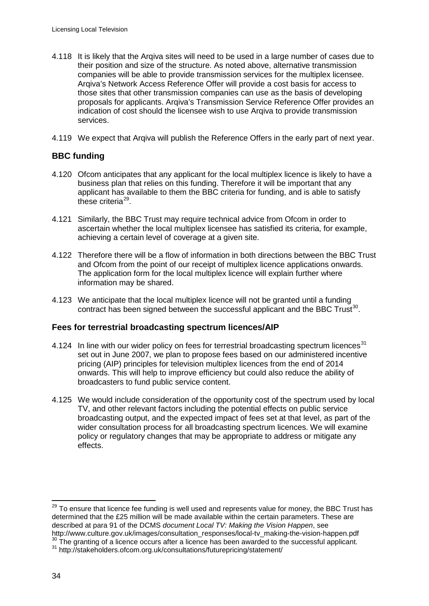- 4.118 It is likely that the Arqiva sites will need to be used in a large number of cases due to their position and size of the structure. As noted above, alternative transmission companies will be able to provide transmission services for the multiplex licensee. Arqiva's Network Access Reference Offer will provide a cost basis for access to those sites that other transmission companies can use as the basis of developing proposals for applicants. Arqiva's Transmission Service Reference Offer provides an indication of cost should the licensee wish to use Arqiva to provide transmission services.
- 4.119 We expect that Arqiva will publish the Reference Offers in the early part of next year.

## **BBC funding**

- 4.120 Ofcom anticipates that any applicant for the local multiplex licence is likely to have a business plan that relies on this funding. Therefore it will be important that any applicant has available to them the BBC criteria for funding, and is able to satisfy these criteria<sup>[29](#page-36-0)</sup>.
- 4.121 Similarly, the BBC Trust may require technical advice from Ofcom in order to ascertain whether the local multiplex licensee has satisfied its criteria, for example, achieving a certain level of coverage at a given site.
- 4.122 Therefore there will be a flow of information in both directions between the BBC Trust and Ofcom from the point of our receipt of multiplex licence applications onwards. The application form for the local multiplex licence will explain further where information may be shared.
- 4.123 We anticipate that the local multiplex licence will not be granted until a funding contract has been signed between the successful applicant and the BBC  $Trust^{30}$  $Trust^{30}$  $Trust^{30}$ .

#### **Fees for terrestrial broadcasting spectrum licences/AIP**

- 4.124 In line with our wider policy on fees for terrestrial broadcasting spectrum licences<sup>[31](#page-36-2)</sup> set out in June 2007, we plan to propose fees based on our administered incentive pricing (AIP) principles for television multiplex licences from the end of 2014 onwards. This will help to improve efficiency but could also reduce the ability of broadcasters to fund public service content.
- 4.125 We would include consideration of the opportunity cost of the spectrum used by local TV, and other relevant factors including the potential effects on public service broadcasting output, and the expected impact of fees set at that level, as part of the wider consultation process for all broadcasting spectrum licences. We will examine policy or regulatory changes that may be appropriate to address or mitigate any effects.

<span id="page-36-0"></span><sup>&</sup>lt;sup>29</sup> To ensure that licence fee funding is well used and represents value for money, the BBC Trust has determined that the £25 million will be made available within the certain parameters. These are described at para 91 of the DCMS *document Local TV: Making the Vision Happen*, see

<span id="page-36-2"></span><span id="page-36-1"></span> $30$  The granting of a licence occurs after a licence has been awarded to the successful applicant.<br> $31$  http://stakeholders.ofcom.org.uk/consultations/futurepricing/statement/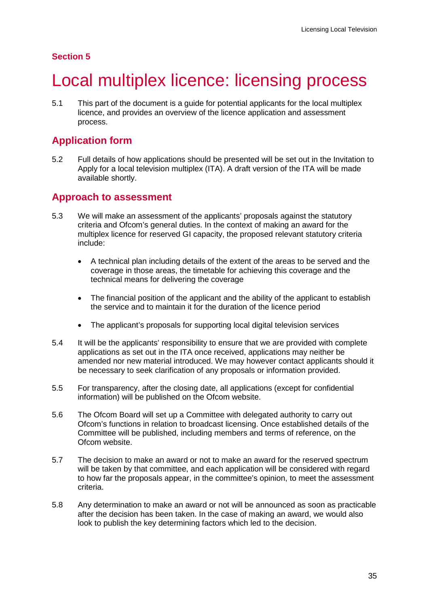## **Section 5**

# <span id="page-37-0"></span>5 Local multiplex licence: licensing process

5.1 This part of the document is a guide for potential applicants for the local multiplex licence, and provides an overview of the licence application and assessment process.

# **Application form**

5.2 Full details of how applications should be presented will be set out in the Invitation to Apply for a local television multiplex (ITA). A draft version of the ITA will be made available shortly.

# **Approach to assessment**

- 5.3 We will make an assessment of the applicants' proposals against the statutory criteria and Ofcom's general duties. In the context of making an award for the multiplex licence for reserved GI capacity, the proposed relevant statutory criteria include:
	- A technical plan including details of the extent of the areas to be served and the coverage in those areas, the timetable for achieving this coverage and the technical means for delivering the coverage
	- The financial position of the applicant and the ability of the applicant to establish the service and to maintain it for the duration of the licence period
	- The applicant's proposals for supporting local digital television services
- 5.4 It will be the applicants' responsibility to ensure that we are provided with complete applications as set out in the ITA once received, applications may neither be amended nor new material introduced. We may however contact applicants should it be necessary to seek clarification of any proposals or information provided.
- 5.5 For transparency, after the closing date, all applications (except for confidential information) will be published on the Ofcom website.
- 5.6 The Ofcom Board will set up a Committee with delegated authority to carry out Ofcom's functions in relation to broadcast licensing. Once established details of the Committee will be published, including members and terms of reference, on the Ofcom website.
- 5.7 The decision to make an award or not to make an award for the reserved spectrum will be taken by that committee, and each application will be considered with regard to how far the proposals appear, in the committee's opinion, to meet the assessment criteria.
- 5.8 Any determination to make an award or not will be announced as soon as practicable after the decision has been taken. In the case of making an award, we would also look to publish the key determining factors which led to the decision.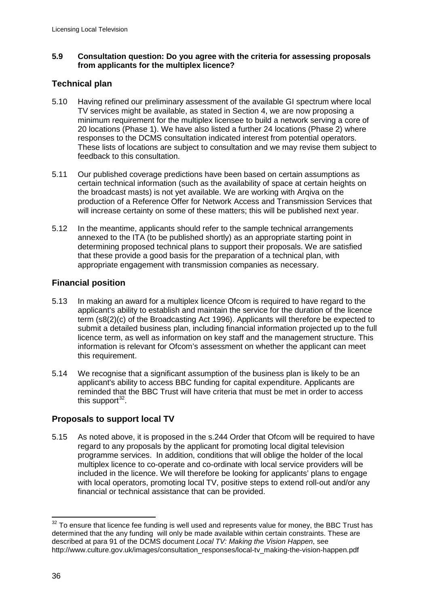#### **5.9 Consultation question: Do you agree with the criteria for assessing proposals from applicants for the multiplex licence?**

## **Technical plan**

- 5.10 Having refined our preliminary assessment of the available GI spectrum where local TV services might be available, as stated in Section 4, we are now proposing a minimum requirement for the multiplex licensee to build a network serving a core of 20 locations (Phase 1). We have also listed a further 24 locations (Phase 2) where responses to the DCMS consultation indicated interest from potential operators. These lists of locations are subject to consultation and we may revise them subject to feedback to this consultation.
- 5.11 Our published coverage predictions have been based on certain assumptions as certain technical information (such as the availability of space at certain heights on the broadcast masts) is not yet available. We are working with Arqiva on the production of a Reference Offer for Network Access and Transmission Services that will increase certainty on some of these matters; this will be published next year.
- 5.12 In the meantime, applicants should refer to the sample technical arrangements annexed to the ITA (to be published shortly) as an appropriate starting point in determining proposed technical plans to support their proposals. We are satisfied that these provide a good basis for the preparation of a technical plan, with appropriate engagement with transmission companies as necessary.

## **Financial position**

- 5.13 In making an award for a multiplex licence Ofcom is required to have regard to the applicant's ability to establish and maintain the service for the duration of the licence term (s8(2)(c) of the Broadcasting Act 1996). Applicants will therefore be expected to submit a detailed business plan, including financial information projected up to the full licence term, as well as information on key staff and the management structure. This information is relevant for Ofcom's assessment on whether the applicant can meet this requirement.
- 5.14 We recognise that a significant assumption of the business plan is likely to be an applicant's ability to access BBC funding for capital expenditure. Applicants are reminded that the BBC Trust will have criteria that must be met in order to access this support $^{32}$  $^{32}$  $^{32}$ .

## **Proposals to support local TV**

5.15 As noted above, it is proposed in the s.244 Order that Ofcom will be required to have regard to any proposals by the applicant for promoting local digital television programme services. In addition, conditions that will oblige the holder of the local multiplex licence to co-operate and co-ordinate with local service providers will be included in the licence. We will therefore be looking for applicants' plans to engage with local operators, promoting local TV, positive steps to extend roll-out and/or any financial or technical assistance that can be provided.

<span id="page-38-0"></span> $32$  To ensure that licence fee funding is well used and represents value for money, the BBC Trust has determined that the any funding will only be made available within certain constraints. These are described at para 91 of the DCMS document *Local TV: Making the Vision Happen*, see http://www.culture.gov.uk/images/consultation\_responses/local-tv\_making-the-vision-happen.pdf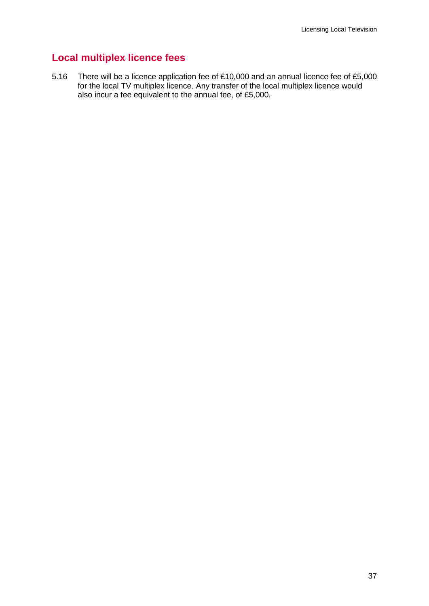# **Local multiplex licence fees**

5.16 There will be a licence application fee of £10,000 and an annual licence fee of £5,000 for the local TV multiplex licence. Any transfer of the local multiplex licence would also incur a fee equivalent to the annual fee, of £5,000.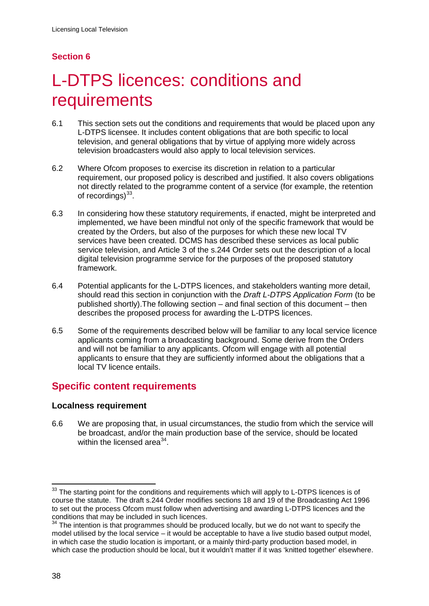# **Section 6**

# <span id="page-40-0"></span>L-DTPS licences: conditions and requirements

- 6.1 This section sets out the conditions and requirements that would be placed upon any L-DTPS licensee. It includes content obligations that are both specific to local television, and general obligations that by virtue of applying more widely across television broadcasters would also apply to local television services.
- 6.2 Where Ofcom proposes to exercise its discretion in relation to a particular requirement, our proposed policy is described and justified. It also covers obligations not directly related to the programme content of a service (for example, the retention of recordings)<sup>[33](#page-40-1)</sup>.
- 6.3 In considering how these statutory requirements, if enacted, might be interpreted and implemented, we have been mindful not only of the specific framework that would be created by the Orders, but also of the purposes for which these new local TV services have been created. DCMS has described these services as local public service television, and Article 3 of the s.244 Order sets out the description of a local digital television programme service for the purposes of the proposed statutory framework.
- 6.4 Potential applicants for the L-DTPS licences, and stakeholders wanting more detail, should read this section in conjunction with the *Draft L-DTPS Application Form* (to be published shortly).The following section – and final section of this document – then describes the proposed process for awarding the L-DTPS licences.
- 6.5 Some of the requirements described below will be familiar to any local service licence applicants coming from a broadcasting background. Some derive from the Orders and will not be familiar to any applicants. Ofcom will engage with all potential applicants to ensure that they are sufficiently informed about the obligations that a local TV licence entails.

# **Specific content requirements**

## **Localness requirement**

6.6 We are proposing that, in usual circumstances, the studio from which the service will be broadcast, and/or the main production base of the service, should be located within the licensed area $^{34}$  $^{34}$  $^{34}$ .

<span id="page-40-1"></span><sup>&</sup>lt;sup>33</sup> The starting point for the conditions and requirements which will apply to L-DTPS licences is of course the statute. The draft s.244 Order modifies sections 18 and 19 of the Broadcasting Act 1996 to set out the process Ofcom must follow when advertising and awarding L-DTPS licences and the conditions that may be included in such licences.

<span id="page-40-2"></span> $34$  The intention is that programmes should be produced locally, but we do not want to specify the model utilised by the local service – it would be acceptable to have a live studio based output model, in which case the studio location is important, or a mainly third-party production based model, in which case the production should be local, but it wouldn't matter if it was 'knitted together' elsewhere.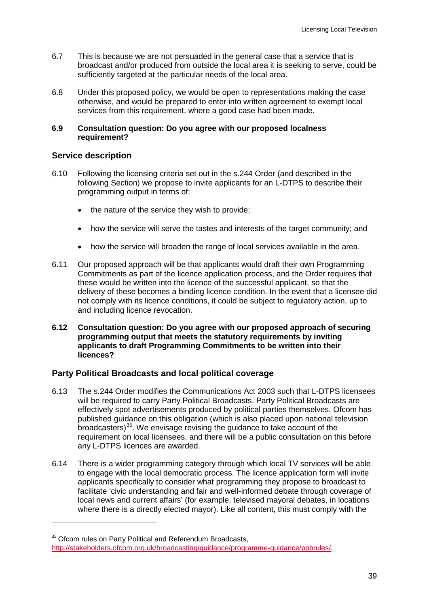- 6.7 This is because we are not persuaded in the general case that a service that is broadcast and/or produced from outside the local area it is seeking to serve, could be sufficiently targeted at the particular needs of the local area.
- 6.8 Under this proposed policy, we would be open to representations making the case otherwise, and would be prepared to enter into written agreement to exempt local services from this requirement, where a good case had been made.

#### **6.9 Consultation question: Do you agree with our proposed localness requirement?**

## **Service description**

 $\overline{a}$ 

- 6.10 Following the licensing criteria set out in the s.244 Order (and described in the following Section) we propose to invite applicants for an L-DTPS to describe their programming output in terms of:
	- the nature of the service they wish to provide;
	- how the service will serve the tastes and interests of the target community; and
	- how the service will broaden the range of local services available in the area.
- 6.11 Our proposed approach will be that applicants would draft their own Programming Commitments as part of the licence application process, and the Order requires that these would be written into the licence of the successful applicant, so that the delivery of these becomes a binding licence condition. In the event that a licensee did not comply with its licence conditions, it could be subject to regulatory action, up to and including licence revocation.
- **6.12 Consultation question: Do you agree with our proposed approach of securing programming output that meets the statutory requirements by inviting applicants to draft Programming Commitments to be written into their licences?**

## **Party Political Broadcasts and local political coverage**

- 6.13 The s.244 Order modifies the Communications Act 2003 such that L-DTPS licensees will be required to carry Party Political Broadcasts. Party Political Broadcasts are effectively spot advertisements produced by political parties themselves. Ofcom has published guidance on this obligation (which is also placed upon national television broadcasters)<sup>[35](#page-41-0)</sup>. We envisage revising the guidance to take account of the requirement on local licensees, and there will be a public consultation on this before any L-DTPS licences are awarded.
- 6.14 There is a wider programming category through which local TV services will be able to engage with the local democratic process. The licence application form will invite applicants specifically to consider what programming they propose to broadcast to facilitate 'civic understanding and fair and well-informed debate through coverage of local news and current affairs' (for example, televised mayoral debates, in locations where there is a directly elected mayor). Like all content, this must comply with the

<span id="page-41-0"></span><sup>&</sup>lt;sup>35</sup> Ofcom rules on Party Political and Referendum Broadcasts, [http://stakeholders.ofcom.org.uk/broadcasting/guidance/programme-guidance/ppbrules/.](http://stakeholders.ofcom.org.uk/broadcasting/guidance/programme-guidance/ppbrules/)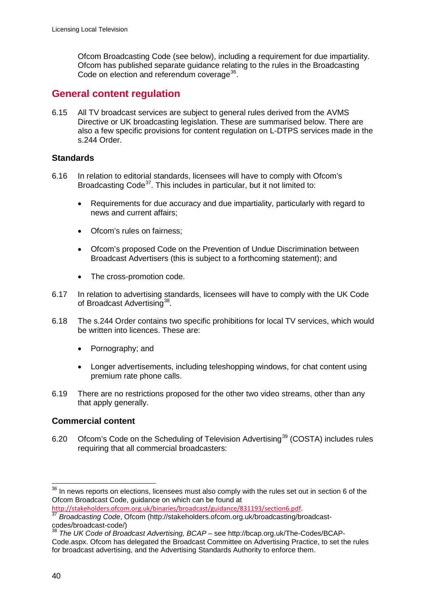Ofcom Broadcasting Code (see below), including a requirement for due impartiality. Ofcom has published separate guidance relating to the rules in the Broadcasting Code on election and referendum coverage<sup>[36](#page-42-0)</sup>.

# **General content regulation**

6.15 All TV broadcast services are subject to general rules derived from the AVMS Directive or UK broadcasting legislation. These are summarised below. There are also a few specific provisions for content regulation on L-DTPS services made in the s.244 Order.

## **Standards**

- 6.16 In relation to editorial standards, licensees will have to comply with Ofcom's Broadcasting Code<sup>[37](#page-42-1)</sup>. This includes in particular, but it not limited to:
	- Requirements for due accuracy and due impartiality, particularly with regard to news and current affairs;
	- Ofcom's rules on fairness;
	- Ofcom's proposed Code on the Prevention of Undue Discrimination between Broadcast Advertisers (this is subject to a forthcoming statement); and
	- The cross-promotion code.
- 6.17 In relation to advertising standards, licensees will have to comply with the UK Code of Broadcast Advertising<sup>[38](#page-42-2)</sup>.
- 6.18 The s.244 Order contains two specific prohibitions for local TV services, which would be written into licences. These are:
	- Pornography; and
	- Longer advertisements, including teleshopping windows, for chat content using premium rate phone calls.
- 6.19 There are no restrictions proposed for the other two video streams, other than any that apply generally.

## **Commercial content**

6.20 Ofcom's Code on the Scheduling of Television Advertising<sup>[39](#page-42-2)</sup> (COSTA) includes rules requiring that all commercial broadcasters:

<span id="page-42-0"></span><sup>&</sup>lt;sup>36</sup> In news reports on elections, licensees must also comply with the rules set out in section 6 of the Ofcom Broadcast Code, guidance on which can be found at http://stakeholders.ofcom.org.uk/binaries/broadcast/guidance/831193/section6.pdf.

<span id="page-42-1"></span><sup>&</sup>lt;sup>37</sup> Broadcasting Code, Ofcom (http://stakeholders.ofcom.org.uk/broadcasting/broadcast-<br>codes/broadcast-code/)<br><sup>38</sup> The UK Code of Draghaet Advertising ROAD and in the code of Draghaet 20

<span id="page-42-2"></span>The UK Code of Broadcast Advertising, BCAP – see http://bcap.org.uk/The-Codes/BCAP-Code.aspx. Ofcom has delegated the Broadcast Committee on Advertising Practice, to set the rules for broadcast advertising, and the Advertising Standards Authority to enforce them.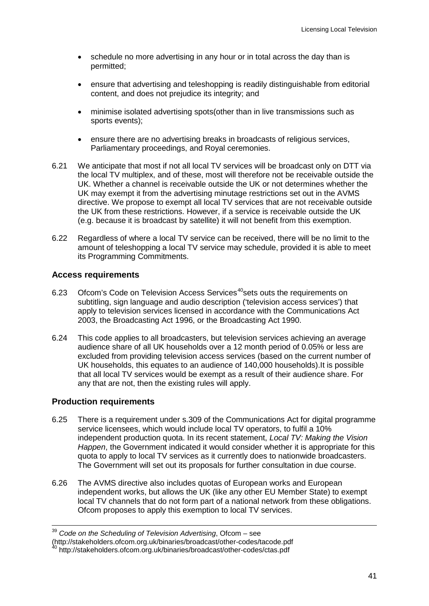- schedule no more advertising in any hour or in total across the day than is permitted;
- ensure that advertising and teleshopping is readily distinguishable from editorial content, and does not prejudice its integrity; and
- minimise isolated advertising spots(other than in live transmissions such as sports events);
- ensure there are no advertising breaks in broadcasts of religious services, Parliamentary proceedings, and Royal ceremonies.
- 6.21 We anticipate that most if not all local TV services will be broadcast only on DTT via the local TV multiplex, and of these, most will therefore not be receivable outside the UK. Whether a channel is receivable outside the UK or not determines whether the UK may exempt it from the advertising minutage restrictions set out in the AVMS directive. We propose to exempt all local TV services that are not receivable outside the UK from these restrictions. However, if a service is receivable outside the UK (e.g. because it is broadcast by satellite) it will not benefit from this exemption.
- 6.22 Regardless of where a local TV service can be received, there will be no limit to the amount of teleshopping a local TV service may schedule, provided it is able to meet its Programming Commitments.

#### **Access requirements**

- 6.23 Ofcom's Code on Television Access Services<sup>[40](#page-43-0)</sup>sets outs the requirements on subtitling, sign language and audio description ('television access services') that apply to television services licensed in accordance with the Communications Act 2003, the Broadcasting Act 1996, or the Broadcasting Act 1990.
- 6.24 This code applies to all broadcasters, but television services achieving an average audience share of all UK households over a 12 month period of 0.05% or less are excluded from providing television access services (based on the current number of UK households, this equates to an audience of 140,000 households).It is possible that all local TV services would be exempt as a result of their audience share. For any that are not, then the existing rules will apply.

#### **Production requirements**

- 6.25 There is a requirement under s.309 of the Communications Act for digital programme service licensees, which would include local TV operators, to fulfil a 10% independent production quota. In its recent statement, *Local TV: Making the Vision Happen*, the Government indicated it would consider whether it is appropriate for this quota to apply to local TV services as it currently does to nationwide broadcasters. The Government will set out its proposals for further consultation in due course.
- 6.26 The AVMS directive also includes quotas of European works and European independent works, but allows the UK (like any other EU Member State) to exempt local TV channels that do not form part of a national network from these obligations. Ofcom proposes to apply this exemption to local TV services.

<sup>39</sup> *Code on the Scheduling of Television Advertising*, Ofcom – see

<sup>(</sup>http://stakeholders.ofcom.org.uk/binaries/broadcast/other-codes/tacode.pdf <sup>40</sup> http://stakeholders.ofcom.org.uk/binaries/broadcast/other-codes/ctas.pdf

<span id="page-43-0"></span>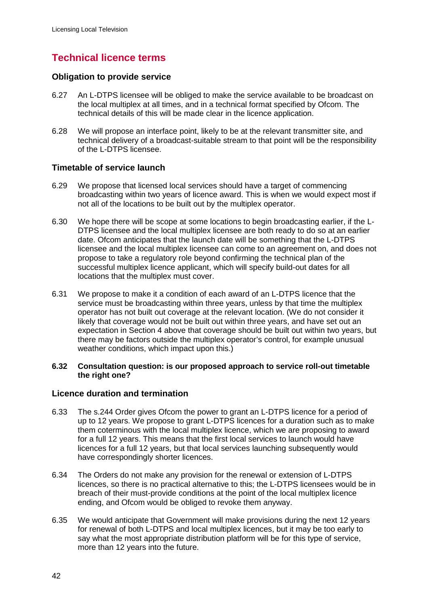# **Technical licence terms**

#### **Obligation to provide service**

- 6.27 An L-DTPS licensee will be obliged to make the service available to be broadcast on the local multiplex at all times, and in a technical format specified by Ofcom. The technical details of this will be made clear in the licence application.
- 6.28 We will propose an interface point, likely to be at the relevant transmitter site, and technical delivery of a broadcast-suitable stream to that point will be the responsibility of the L-DTPS licensee.

#### **Timetable of service launch**

- 6.29 We propose that licensed local services should have a target of commencing broadcasting within two years of licence award. This is when we would expect most if not all of the locations to be built out by the multiplex operator.
- 6.30 We hope there will be scope at some locations to begin broadcasting earlier, if the L-DTPS licensee and the local multiplex licensee are both ready to do so at an earlier date. Ofcom anticipates that the launch date will be something that the L-DTPS licensee and the local multiplex licensee can come to an agreement on, and does not propose to take a regulatory role beyond confirming the technical plan of the successful multiplex licence applicant, which will specify build-out dates for all locations that the multiplex must cover.
- 6.31 We propose to make it a condition of each award of an L-DTPS licence that the service must be broadcasting within three years, unless by that time the multiplex operator has not built out coverage at the relevant location. (We do not consider it likely that coverage would not be built out within three years, and have set out an expectation in Section 4 above that coverage should be built out within two years, but there may be factors outside the multiplex operator's control, for example unusual weather conditions, which impact upon this.)

#### **6.32 Consultation question: is our proposed approach to service roll-out timetable the right one?**

## **Licence duration and termination**

- 6.33 The s.244 Order gives Ofcom the power to grant an L-DTPS licence for a period of up to 12 years. We propose to grant L-DTPS licences for a duration such as to make them coterminous with the local multiplex licence, which we are proposing to award for a full 12 years. This means that the first local services to launch would have licences for a full 12 years, but that local services launching subsequently would have correspondingly shorter licences.
- 6.34 The Orders do not make any provision for the renewal or extension of L-DTPS licences, so there is no practical alternative to this; the L-DTPS licensees would be in breach of their must-provide conditions at the point of the local multiplex licence ending, and Ofcom would be obliged to revoke them anyway.
- 6.35 We would anticipate that Government will make provisions during the next 12 years for renewal of both L-DTPS and local multiplex licences, but it may be too early to say what the most appropriate distribution platform will be for this type of service, more than 12 years into the future.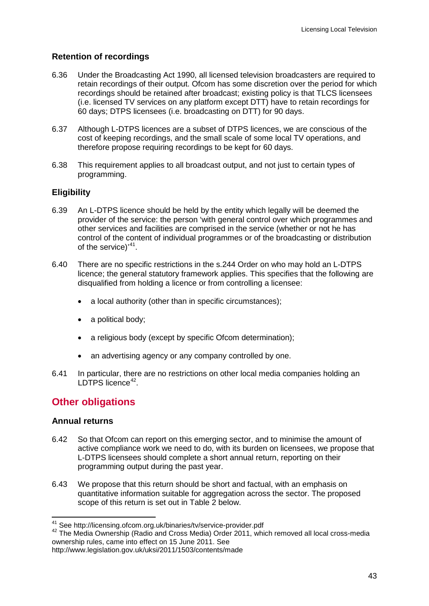## **Retention of recordings**

- 6.36 Under the Broadcasting Act 1990, all licensed television broadcasters are required to retain recordings of their output. Ofcom has some discretion over the period for which recordings should be retained after broadcast; existing policy is that TLCS licensees (i.e. licensed TV services on any platform except DTT) have to retain recordings for 60 days; DTPS licensees (i.e. broadcasting on DTT) for 90 days.
- 6.37 Although L-DTPS licences are a subset of DTPS licences, we are conscious of the cost of keeping recordings, and the small scale of some local TV operations, and therefore propose requiring recordings to be kept for 60 days.
- 6.38 This requirement applies to all broadcast output, and not just to certain types of programming.

## **Eligibility**

- 6.39 An L-DTPS licence should be held by the entity which legally will be deemed the provider of the service: the person 'with general control over which programmes and other services and facilities are comprised in the service (whether or not he has control of the content of individual programmes or of the broadcasting or distribution of the service)'<sup>[41](#page-45-0)</sup>.
- 6.40 There are no specific restrictions in the s.244 Order on who may hold an L-DTPS licence; the general statutory framework applies. This specifies that the following are disqualified from holding a licence or from controlling a licensee:
	- a local authority (other than in specific circumstances);
	- a political body;
	- a religious body (except by specific Ofcom determination);
	- an advertising agency or any company controlled by one.
- 6.41 In particular, there are no restrictions on other local media companies holding an LDTPS licence<sup>[42](#page-45-1)</sup>.

# **Other obligations**

## **Annual returns**

- 6.42 So that Ofcom can report on this emerging sector, and to minimise the amount of active compliance work we need to do, with its burden on licensees, we propose that L-DTPS licensees should complete a short annual return, reporting on their programming output during the past year.
- 6.43 We propose that this return should be short and factual, with an emphasis on quantitative information suitable for aggregation across the sector. The proposed scope of this return is set out in Table 2 below.

<span id="page-45-1"></span><span id="page-45-0"></span><sup>&</sup>lt;sup>41</sup> See http://licensing.ofcom.org.uk/binaries/tv/service-provider.pdf<br><sup>42</sup> The Media Ownership (Radio and Cross Media) Order 2011, which removed all local cross-media ownership rules, came into effect on 15 June 2011. See

http://www.legislation.gov.uk/uksi/2011/1503/contents/made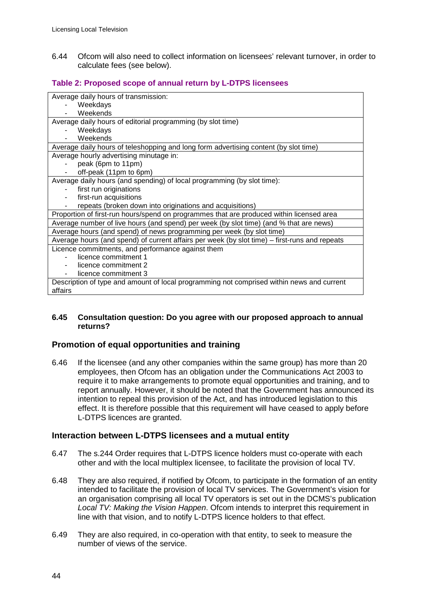6.44 Ofcom will also need to collect information on licensees' relevant turnover, in order to calculate fees (see below).

## **Table 2: Proposed scope of annual return by L-DTPS licensees**

| Average daily hours of transmission:                                                          |
|-----------------------------------------------------------------------------------------------|
| Weekdays                                                                                      |
| Weekends                                                                                      |
| Average daily hours of editorial programming (by slot time)                                   |
| Weekdays                                                                                      |
| Weekends                                                                                      |
| Average daily hours of teleshopping and long form advertising content (by slot time)          |
| Average hourly advertising minutage in:                                                       |
| peak (6pm to 11pm)                                                                            |
| off-peak (11pm to 6pm)                                                                        |
| Average daily hours (and spending) of local programming (by slot time):                       |
| first run originations                                                                        |
| first-run acquisitions                                                                        |
| repeats (broken down into originations and acquisitions)                                      |
| Proportion of first-run hours/spend on programmes that are produced within licensed area      |
| Average number of live hours (and spend) per week (by slot time) (and % that are news)        |
| Average hours (and spend) of news programming per week (by slot time)                         |
| Average hours (and spend) of current affairs per week (by slot time) – first-runs and repeats |
| Licence commitments, and performance against them                                             |
| licence commitment 1                                                                          |
| licence commitment 2                                                                          |
| licence commitment 3                                                                          |
| Description of type and amount of local programming not comprised within news and current     |
| affairs                                                                                       |

#### **6.45 Consultation question: Do you agree with our proposed approach to annual returns?**

#### **Promotion of equal opportunities and training**

6.46 If the licensee (and any other companies within the same group) has more than 20 employees, then Ofcom has an obligation under the Communications Act 2003 to require it to make arrangements to promote equal opportunities and training, and to report annually. However, it should be noted that the Government has announced its intention to repeal this provision of the Act, and has introduced legislation to this effect. It is therefore possible that this requirement will have ceased to apply before L-DTPS licences are granted.

#### **Interaction between L-DTPS licensees and a mutual entity**

- 6.47 The s.244 Order requires that L-DTPS licence holders must co-operate with each other and with the local multiplex licensee, to facilitate the provision of local TV.
- 6.48 They are also required, if notified by Ofcom, to participate in the formation of an entity intended to facilitate the provision of local TV services. The Government's vision for an organisation comprising all local TV operators is set out in the DCMS's publication *Local TV: Making the Vision Happen*. Ofcom intends to interpret this requirement in line with that vision, and to notify L-DTPS licence holders to that effect.
- 6.49 They are also required, in co-operation with that entity, to seek to measure the number of views of the service.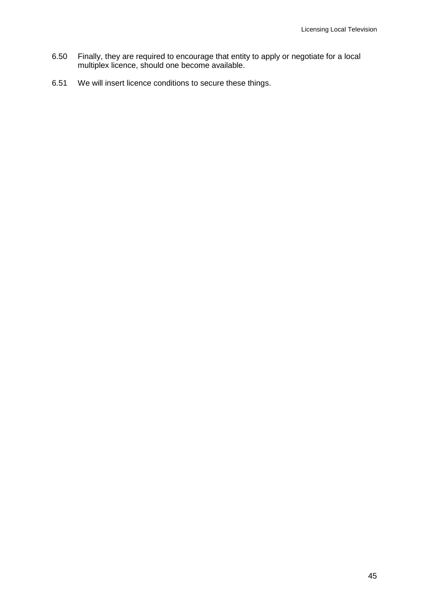- 6.50 Finally, they are required to encourage that entity to apply or negotiate for a local multiplex licence, should one become available.
- 6.51 We will insert licence conditions to secure these things.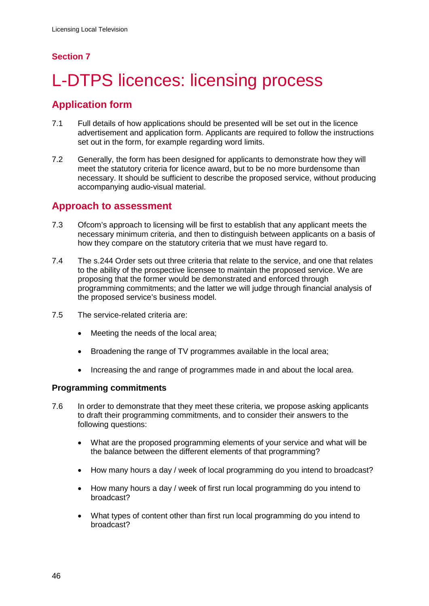## **Section 7**

# <span id="page-48-0"></span>L-DTPS licences: licensing process

# **Application form**

- 7.1 Full details of how applications should be presented will be set out in the licence advertisement and application form. Applicants are required to follow the instructions set out in the form, for example regarding word limits.
- 7.2 Generally, the form has been designed for applicants to demonstrate how they will meet the statutory criteria for licence award, but to be no more burdensome than necessary. It should be sufficient to describe the proposed service, without producing accompanying audio-visual material.

## **Approach to assessment**

- 7.3 Ofcom's approach to licensing will be first to establish that any applicant meets the necessary minimum criteria, and then to distinguish between applicants on a basis of how they compare on the statutory criteria that we must have regard to.
- 7.4 The s.244 Order sets out three criteria that relate to the service, and one that relates to the ability of the prospective licensee to maintain the proposed service. We are proposing that the former would be demonstrated and enforced through programming commitments; and the latter we will judge through financial analysis of the proposed service's business model.
- 7.5 The service-related criteria are:
	- Meeting the needs of the local area;
	- Broadening the range of TV programmes available in the local area;
	- Increasing the and range of programmes made in and about the local area.

## **Programming commitments**

- 7.6 In order to demonstrate that they meet these criteria, we propose asking applicants to draft their programming commitments, and to consider their answers to the following questions:
	- What are the proposed programming elements of your service and what will be the balance between the different elements of that programming?
	- How many hours a day / week of local programming do you intend to broadcast?
	- How many hours a day / week of first run local programming do you intend to broadcast?
	- What types of content other than first run local programming do you intend to broadcast?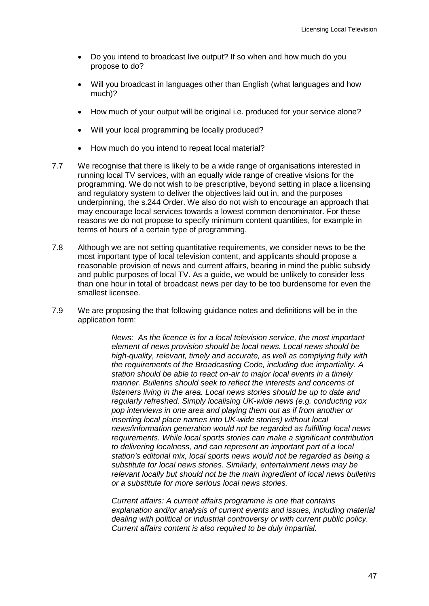- Do you intend to broadcast live output? If so when and how much do you propose to do?
- Will you broadcast in languages other than English (what languages and how much)?
- How much of your output will be original i.e. produced for your service alone?
- Will your local programming be locally produced?
- How much do you intend to repeat local material?
- 7.7 We recognise that there is likely to be a wide range of organisations interested in running local TV services, with an equally wide range of creative visions for the programming. We do not wish to be prescriptive, beyond setting in place a licensing and regulatory system to deliver the objectives laid out in, and the purposes underpinning, the s.244 Order. We also do not wish to encourage an approach that may encourage local services towards a lowest common denominator. For these reasons we do not propose to specify minimum content quantities, for example in terms of hours of a certain type of programming.
- 7.8 Although we are not setting quantitative requirements, we consider news to be the most important type of local television content, and applicants should propose a reasonable provision of news and current affairs, bearing in mind the public subsidy and public purposes of local TV. As a guide, we would be unlikely to consider less than one hour in total of broadcast news per day to be too burdensome for even the smallest licensee.
- 7.9 We are proposing the that following guidance notes and definitions will be in the application form:

*News: As the licence is for a local television service, the most important element of news provision should be local news. Local news should be high-quality, relevant, timely and accurate, as well as complying fully with the requirements of the Broadcasting Code, including due impartiality. A station should be able to react on-air to major local events in a timely manner. Bulletins should seek to reflect the interests and concerns of listeners living in the area. Local news stories should be up to date and regularly refreshed. Simply localising UK-wide news (e.g. conducting vox pop interviews in one area and playing them out as if from another or inserting local place names into UK-wide stories) without local news/information generation would not be regarded as fulfilling local news requirements. While local sports stories can make a significant contribution to delivering localness, and can represent an important part of a local station's editorial mix, local sports news would not be regarded as being a substitute for local news stories. Similarly, entertainment news may be relevant locally but should not be the main ingredient of local news bulletins or a substitute for more serious local news stories.* 

*Current affairs: A current affairs programme is one that contains explanation and/or analysis of current events and issues, including material dealing with political or industrial controversy or with current public policy. Current affairs content is also required to be duly impartial.*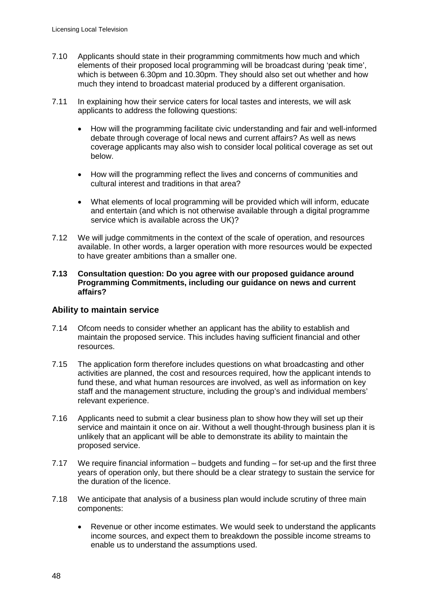- 7.10 Applicants should state in their programming commitments how much and which elements of their proposed local programming will be broadcast during 'peak time', which is between 6.30pm and 10.30pm. They should also set out whether and how much they intend to broadcast material produced by a different organisation.
- 7.11 In explaining how their service caters for local tastes and interests, we will ask applicants to address the following questions:
	- How will the programming facilitate civic understanding and fair and well-informed debate through coverage of local news and current affairs? As well as news coverage applicants may also wish to consider local political coverage as set out below.
	- How will the programming reflect the lives and concerns of communities and cultural interest and traditions in that area?
	- What elements of local programming will be provided which will inform, educate and entertain (and which is not otherwise available through a digital programme service which is available across the UK)?
- 7.12 We will judge commitments in the context of the scale of operation, and resources available. In other words, a larger operation with more resources would be expected to have greater ambitions than a smaller one.

#### **7.13 Consultation question: Do you agree with our proposed guidance around Programming Commitments, including our guidance on news and current affairs?**

#### **Ability to maintain service**

- 7.14 Ofcom needs to consider whether an applicant has the ability to establish and maintain the proposed service. This includes having sufficient financial and other resources.
- 7.15 The application form therefore includes questions on what broadcasting and other activities are planned, the cost and resources required, how the applicant intends to fund these, and what human resources are involved, as well as information on key staff and the management structure, including the group's and individual members' relevant experience.
- 7.16 Applicants need to submit a clear business plan to show how they will set up their service and maintain it once on air. Without a well thought-through business plan it is unlikely that an applicant will be able to demonstrate its ability to maintain the proposed service.
- 7.17 We require financial information budgets and funding for set-up and the first three years of operation only, but there should be a clear strategy to sustain the service for the duration of the licence.
- 7.18 We anticipate that analysis of a business plan would include scrutiny of three main components:
	- Revenue or other income estimates. We would seek to understand the applicants income sources, and expect them to breakdown the possible income streams to enable us to understand the assumptions used.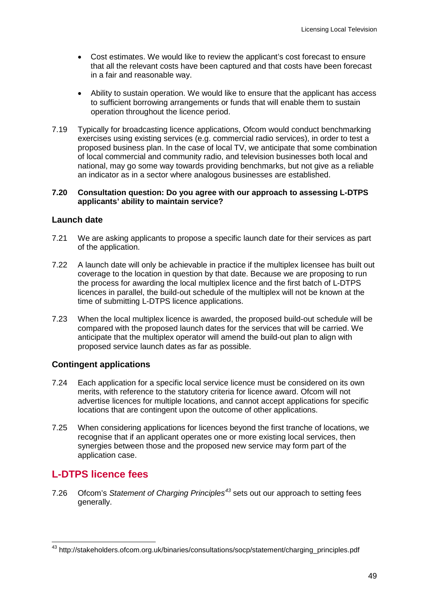- Cost estimates. We would like to review the applicant's cost forecast to ensure that all the relevant costs have been captured and that costs have been forecast in a fair and reasonable way.
- Ability to sustain operation. We would like to ensure that the applicant has access to sufficient borrowing arrangements or funds that will enable them to sustain operation throughout the licence period.
- 7.19 Typically for broadcasting licence applications, Ofcom would conduct benchmarking exercises using existing services (e.g. commercial radio services), in order to test a proposed business plan. In the case of local TV, we anticipate that some combination of local commercial and community radio, and television businesses both local and national, may go some way towards providing benchmarks, but not give as a reliable an indicator as in a sector where analogous businesses are established.

#### **7.20 Consultation question: Do you agree with our approach to assessing L-DTPS applicants' ability to maintain service?**

#### **Launch date**

- 7.21 We are asking applicants to propose a specific launch date for their services as part of the application.
- 7.22 A launch date will only be achievable in practice if the multiplex licensee has built out coverage to the location in question by that date. Because we are proposing to run the process for awarding the local multiplex licence and the first batch of L-DTPS licences in parallel, the build-out schedule of the multiplex will not be known at the time of submitting L-DTPS licence applications.
- 7.23 When the local multiplex licence is awarded, the proposed build-out schedule will be compared with the proposed launch dates for the services that will be carried. We anticipate that the multiplex operator will amend the build-out plan to align with proposed service launch dates as far as possible.

## **Contingent applications**

- 7.24 Each application for a specific local service licence must be considered on its own merits, with reference to the statutory criteria for licence award. Ofcom will not advertise licences for multiple locations, and cannot accept applications for specific locations that are contingent upon the outcome of other applications.
- 7.25 When considering applications for licences beyond the first tranche of locations, we recognise that if an applicant operates one or more existing local services, then synergies between those and the proposed new service may form part of the application case.

# **L-DTPS licence fees**

7.26 Ofcom's *Statement of Charging Principles[43](#page-51-0)* sets out our approach to setting fees generally.

<span id="page-51-0"></span><sup>43</sup> http://stakeholders.ofcom.org.uk/binaries/consultations/socp/statement/charging\_principles.pdf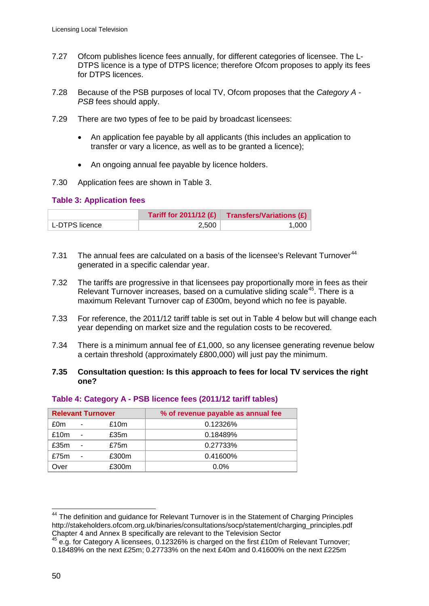- 7.27 Ofcom publishes licence fees annually, for different categories of licensee. The L-DTPS licence is a type of DTPS licence; therefore Ofcom proposes to apply its fees for DTPS licences.
- 7.28 Because of the PSB purposes of local TV, Ofcom proposes that the *Category A - PSB* fees should apply.
- 7.29 There are two types of fee to be paid by broadcast licensees:
	- An application fee payable by all applicants (this includes an application to transfer or vary a licence, as well as to be granted a licence);
	- An ongoing annual fee payable by licence holders.
- 7.30 Application fees are shown in Table 3.

#### **Table 3: Application fees**

|                | Tariff for $2011/12$ (£) | <b>Transfers/Variations (£)</b> |
|----------------|--------------------------|---------------------------------|
| L-DTPS licence | 2.500                    | 1.000                           |

- 7.31 The annual fees are calculated on a basis of the licensee's Relevant Turnover<sup>[44](#page-52-0)</sup> generated in a specific calendar year.
- 7.32 The tariffs are progressive in that licensees pay proportionally more in fees as their Relevant Turnover increases, based on a cumulative sliding scale<sup>[45](#page-52-1)</sup>. There is a maximum Relevant Turnover cap of £300m, beyond which no fee is payable.
- 7.33 For reference, the 2011/12 tariff table is set out in Table 4 below but will change each year depending on market size and the regulation costs to be recovered.
- 7.34 There is a minimum annual fee of £1,000, so any licensee generating revenue below a certain threshold (approximately £800,000) will just pay the minimum.

#### **7.35 Consultation question: Is this approach to fees for local TV services the right one?**

|      |   | <b>Relevant Turnover</b> | % of revenue payable as annual fee |
|------|---|--------------------------|------------------------------------|
| £0m  | ٠ | £10m                     | 0.12326%                           |
| £10m |   | £35m                     | 0.18489%                           |
| £35m |   | £75m                     | 0.27733%                           |
| £75m |   | £300m                    | 0.41600%                           |
| Over |   | £300m                    | $0.0\%$                            |

#### **Table 4: Category A - PSB licence fees (2011/12 tariff tables)**

<span id="page-52-0"></span><sup>&</sup>lt;sup>44</sup> The definition and guidance for Relevant Turnover is in the Statement of Charging Principles http://stakeholders.ofcom.org.uk/binaries/consultations/socp/statement/charging\_principles.pdf Chapter 4 and Annex B specifically are relevant to the Television Sector

<span id="page-52-1"></span><sup>45</sup> e.g. for Category A licensees, 0.12326% is charged on the first £10m of Relevant Turnover; 0.18489% on the next £25m; 0.27733% on the next £40m and 0.41600% on the next £225m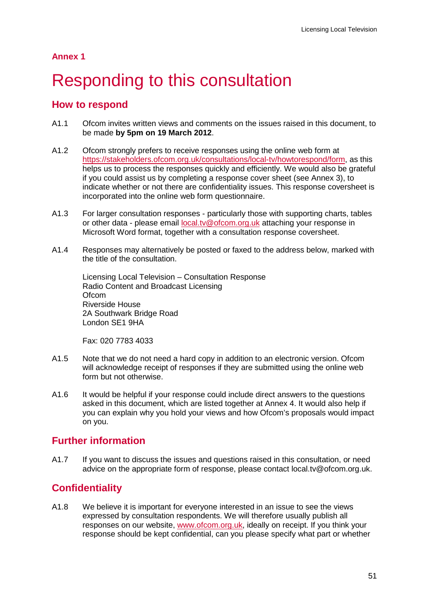**Annex 1**

# <span id="page-53-0"></span>Responding to this consultation

# **How to respond**

- A1.1 Ofcom invites written views and comments on the issues raised in this document, to be made **by 5pm on 19 March 2012**.
- A1.2 Ofcom strongly prefers to receive responses using the online web form at [https://stakeholders.ofcom.org.uk/consultations/local-tv/howtorespond/form,](https://stakeholders.ofcom.org.uk/consultations/local-tv/howtorespond/form) as this helps us to process the responses quickly and efficiently. We would also be grateful if you could assist us by completing a response cover sheet (see Annex 3), to indicate whether or not there are confidentiality issues. This response coversheet is incorporated into the online web form questionnaire.
- A1.3 For larger consultation responses particularly those with supporting charts, tables or other data - please email [local.tv@ofcom.org.uk](mailto:local.tv@ofcom.org.uk) attaching your response in Microsoft Word format, together with a consultation response coversheet.
- A1.4 Responses may alternatively be posted or faxed to the address below, marked with the title of the consultation.

Licensing Local Television – Consultation Response Radio Content and Broadcast Licensing **Ofcom** Riverside House 2A Southwark Bridge Road London SE1 9HA

Fax: 020 7783 4033

- A1.5 Note that we do not need a hard copy in addition to an electronic version. Ofcom will acknowledge receipt of responses if they are submitted using the online web form but not otherwise.
- A1.6 It would be helpful if your response could include direct answers to the questions asked in this document, which are listed together at Annex 4. It would also help if you can explain why you hold your views and how Ofcom's proposals would impact on you.

# **Further information**

A1.7 If you want to discuss the issues and questions raised in this consultation, or need advice on the appropriate form of response, please contact local.tv@ofcom.org.uk.

# **Confidentiality**

A1.8 We believe it is important for everyone interested in an issue to see the views expressed by consultation respondents. We will therefore usually publish all responses on our website, [www.ofcom.org.uk,](http://www.ofcom.org.uk/) ideally on receipt. If you think your response should be kept confidential, can you please specify what part or whether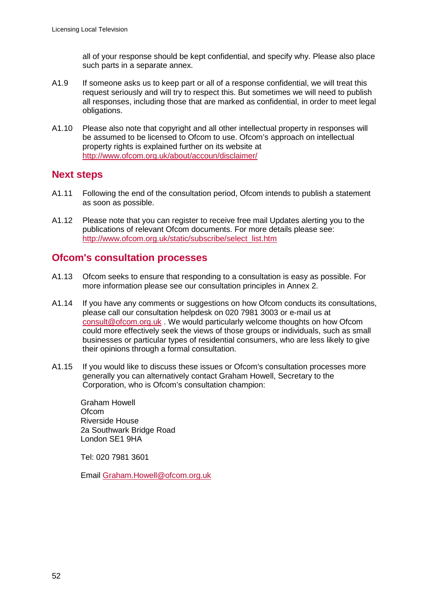all of your response should be kept confidential, and specify why. Please also place such parts in a separate annex.

- A1.9 If someone asks us to keep part or all of a response confidential, we will treat this request seriously and will try to respect this. But sometimes we will need to publish all responses, including those that are marked as confidential, in order to meet legal obligations.
- A1.10 Please also note that copyright and all other intellectual property in responses will be assumed to be licensed to Ofcom to use. Ofcom's approach on intellectual property rights is explained further on its website at <http://www.ofcom.org.uk/about/accoun/disclaimer/>

## **Next steps**

- A1.11 Following the end of the consultation period, Ofcom intends to publish a statement as soon as possible.
- A1.12 Please note that you can register to receive free mail Updates alerting you to the publications of relevant Ofcom documents. For more details please see: [http://www.ofcom.org.uk/static/subscribe/select\\_list.htm](http://www.ofcom.org.uk/static/subscribe/select_list.htm)

# **Ofcom's consultation processes**

- A1.13 Ofcom seeks to ensure that responding to a consultation is easy as possible. For more information please see our consultation principles in Annex 2.
- A1.14 If you have any comments or suggestions on how Ofcom conducts its consultations, please call our consultation helpdesk on 020 7981 3003 or e-mail us at [consult@ofcom.org.uk](mailto:consult@ofcom.org.uk) . We would particularly welcome thoughts on how Ofcom could more effectively seek the views of those groups or individuals, such as small businesses or particular types of residential consumers, who are less likely to give their opinions through a formal consultation.
- A1.15 If you would like to discuss these issues or Ofcom's consultation processes more generally you can alternatively contact Graham Howell, Secretary to the Corporation, who is Ofcom's consultation champion:

Graham Howell **Ofcom** Riverside House 2a Southwark Bridge Road London SE1 9HA

Tel: 020 7981 3601

Email [Graham.Howell@ofcom.org.uk](mailto:Graham.Howell@ofcom.org.uk)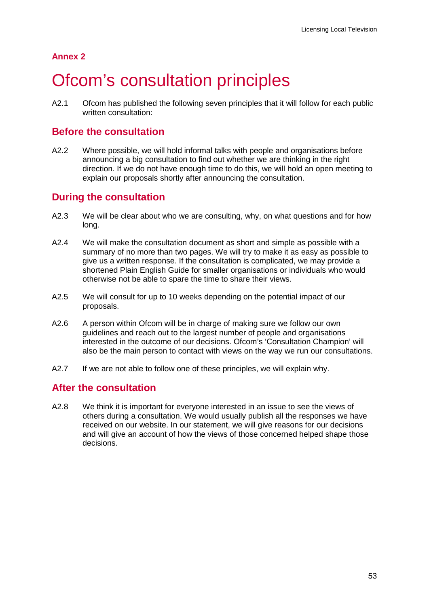# **Annex 2**

# <span id="page-55-0"></span>**Ofcom's consultation principles**

A2.1 Ofcom has published the following seven principles that it will follow for each public written consultation:

# **Before the consultation**

A2.2 Where possible, we will hold informal talks with people and organisations before announcing a big consultation to find out whether we are thinking in the right direction. If we do not have enough time to do this, we will hold an open meeting to explain our proposals shortly after announcing the consultation.

# **During the consultation**

- A2.3 We will be clear about who we are consulting, why, on what questions and for how long.
- A2.4 We will make the consultation document as short and simple as possible with a summary of no more than two pages. We will try to make it as easy as possible to give us a written response. If the consultation is complicated, we may provide a shortened Plain English Guide for smaller organisations or individuals who would otherwise not be able to spare the time to share their views.
- A2.5 We will consult for up to 10 weeks depending on the potential impact of our proposals.
- A2.6 A person within Ofcom will be in charge of making sure we follow our own guidelines and reach out to the largest number of people and organisations interested in the outcome of our decisions. Ofcom's 'Consultation Champion' will also be the main person to contact with views on the way we run our consultations.
- A2.7 If we are not able to follow one of these principles, we will explain why.

# **After the consultation**

A2.8 We think it is important for everyone interested in an issue to see the views of others during a consultation. We would usually publish all the responses we have received on our website. In our statement, we will give reasons for our decisions and will give an account of how the views of those concerned helped shape those decisions.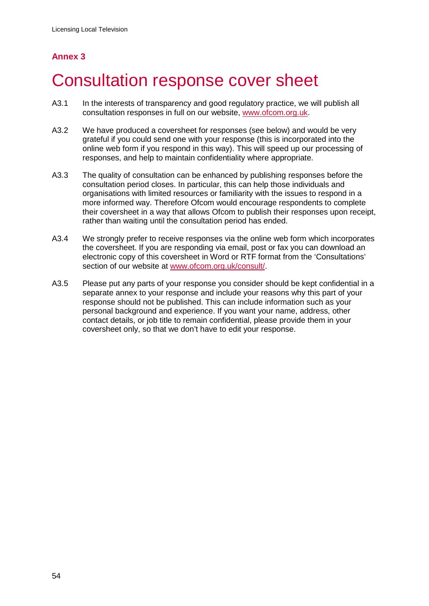# **Annex 3**

# <span id="page-56-0"></span>3 Consultation response cover sheet

- A3.1 In the interests of transparency and good regulatory practice, we will publish all consultation responses in full on our website, [www.ofcom.org.uk.](http://www.ofcom.org.uk/)
- A3.2 We have produced a coversheet for responses (see below) and would be very grateful if you could send one with your response (this is incorporated into the online web form if you respond in this way). This will speed up our processing of responses, and help to maintain confidentiality where appropriate.
- A3.3 The quality of consultation can be enhanced by publishing responses before the consultation period closes. In particular, this can help those individuals and organisations with limited resources or familiarity with the issues to respond in a more informed way. Therefore Ofcom would encourage respondents to complete their coversheet in a way that allows Ofcom to publish their responses upon receipt, rather than waiting until the consultation period has ended.
- A3.4 We strongly prefer to receive responses via the online web form which incorporates the coversheet. If you are responding via email, post or fax you can download an electronic copy of this coversheet in Word or RTF format from the 'Consultations' section of our website at [www.ofcom.org.uk/consult/.](http://www.ofcom.org.uk/consult/)
- A3.5 Please put any parts of your response you consider should be kept confidential in a separate annex to your response and include your reasons why this part of your response should not be published. This can include information such as your personal background and experience. If you want your name, address, other contact details, or job title to remain confidential, please provide them in your coversheet only, so that we don't have to edit your response.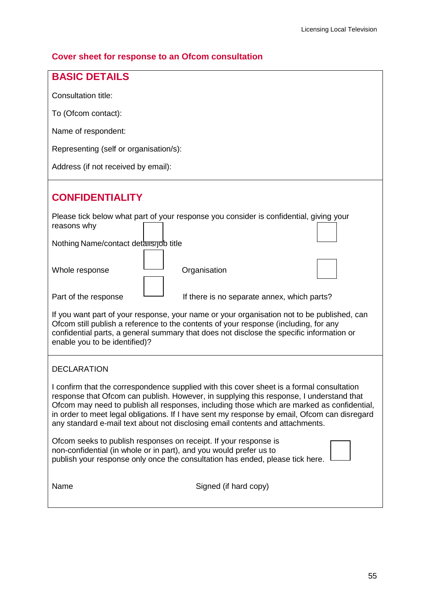# **Cover sheet for response to an Ofcom consultation**

| <b>BASIC DETAILS</b>                                                                                                                                                                                                                                                                                                                                                                                                                                                |
|---------------------------------------------------------------------------------------------------------------------------------------------------------------------------------------------------------------------------------------------------------------------------------------------------------------------------------------------------------------------------------------------------------------------------------------------------------------------|
| Consultation title:                                                                                                                                                                                                                                                                                                                                                                                                                                                 |
| To (Ofcom contact):                                                                                                                                                                                                                                                                                                                                                                                                                                                 |
| Name of respondent:                                                                                                                                                                                                                                                                                                                                                                                                                                                 |
| Representing (self or organisation/s):                                                                                                                                                                                                                                                                                                                                                                                                                              |
| Address (if not received by email):                                                                                                                                                                                                                                                                                                                                                                                                                                 |
| <b>CONFIDENTIALITY</b>                                                                                                                                                                                                                                                                                                                                                                                                                                              |
| Please tick below what part of your response you consider is confidential, giving your<br>reasons why                                                                                                                                                                                                                                                                                                                                                               |
| Nothing Name/contact details/job title                                                                                                                                                                                                                                                                                                                                                                                                                              |
| Organisation<br>Whole response                                                                                                                                                                                                                                                                                                                                                                                                                                      |
| Part of the response<br>If there is no separate annex, which parts?                                                                                                                                                                                                                                                                                                                                                                                                 |
| If you want part of your response, your name or your organisation not to be published, can<br>Ofcom still publish a reference to the contents of your response (including, for any<br>confidential parts, a general summary that does not disclose the specific information or<br>enable you to be identified)?                                                                                                                                                     |
| <b>DECLARATION</b>                                                                                                                                                                                                                                                                                                                                                                                                                                                  |
| I confirm that the correspondence supplied with this cover sheet is a formal consultation<br>response that Ofcom can publish. However, in supplying this response, I understand that<br>Ofcom may need to publish all responses, including those which are marked as confidential,<br>in order to meet legal obligations. If I have sent my response by email, Ofcom can disregard<br>any standard e-mail text about not disclosing email contents and attachments. |
| Ofcom seeks to publish responses on receipt. If your response is<br>non-confidential (in whole or in part), and you would prefer us to<br>publish your response only once the consultation has ended, please tick here.                                                                                                                                                                                                                                             |
| Name<br>Signed (if hard copy)                                                                                                                                                                                                                                                                                                                                                                                                                                       |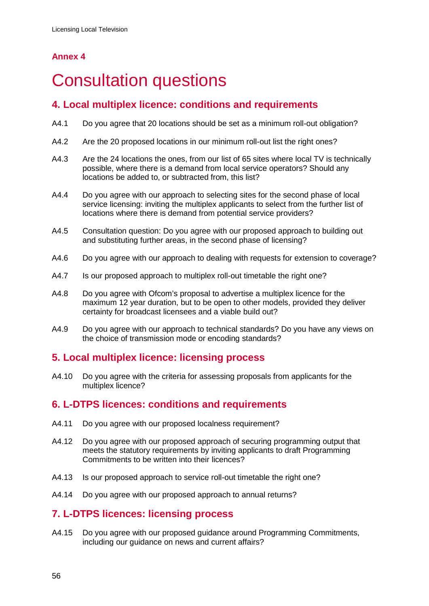# **Annex 4**

# <span id="page-58-0"></span>**Consultation questions**

# **4. Local multiplex licence: conditions and requirements**

- A4.1 Do you agree that 20 locations should be set as a minimum roll-out obligation?
- A4.2 Are the 20 proposed locations in our minimum roll-out list the right ones?
- A4.3 Are the 24 locations the ones, from our list of 65 sites where local TV is technically possible, where there is a demand from local service operators? Should any locations be added to, or subtracted from, this list?
- A4.4 Do you agree with our approach to selecting sites for the second phase of local service licensing: inviting the multiplex applicants to select from the further list of locations where there is demand from potential service providers?
- A4.5 Consultation question: Do you agree with our proposed approach to building out and substituting further areas, in the second phase of licensing?
- A4.6 Do you agree with our approach to dealing with requests for extension to coverage?
- A4.7 Is our proposed approach to multiplex roll-out timetable the right one?
- A4.8 Do you agree with Ofcom's proposal to advertise a multiplex licence for the maximum 12 year duration, but to be open to other models, provided they deliver certainty for broadcast licensees and a viable build out?
- A4.9 Do you agree with our approach to technical standards? Do you have any views on the choice of transmission mode or encoding standards?

# **5. Local multiplex licence: licensing process**

A4.10 Do you agree with the criteria for assessing proposals from applicants for the multiplex licence?

# **6. L-DTPS licences: conditions and requirements**

- A4.11 Do you agree with our proposed localness requirement?
- A4.12 Do you agree with our proposed approach of securing programming output that meets the statutory requirements by inviting applicants to draft Programming Commitments to be written into their licences?
- A4.13 Is our proposed approach to service roll-out timetable the right one?
- A4.14 Do you agree with our proposed approach to annual returns?

# **7. L-DTPS licences: licensing process**

A4.15 Do you agree with our proposed guidance around Programming Commitments, including our guidance on news and current affairs?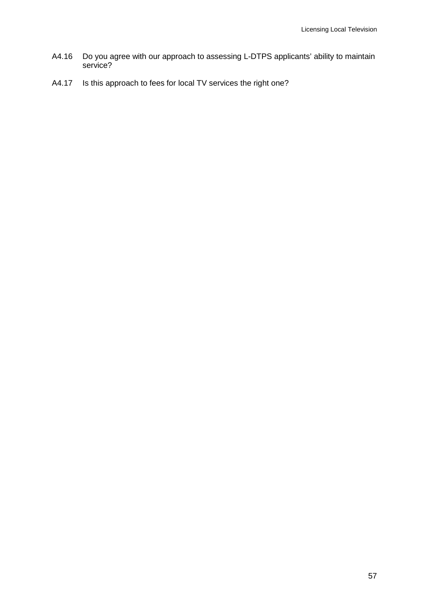- A4.16 Do you agree with our approach to assessing L-DTPS applicants' ability to maintain service?
- A4.17 Is this approach to fees for local TV services the right one?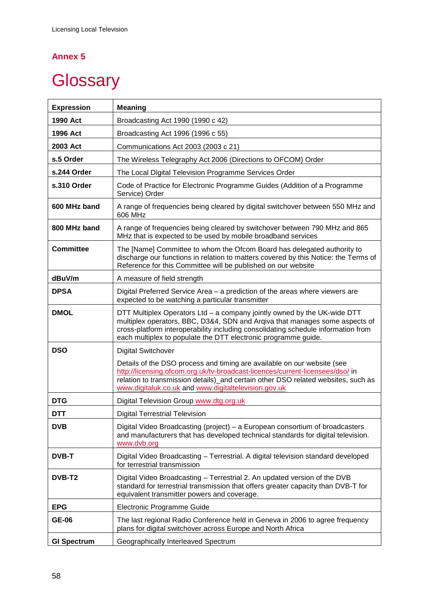# **Annex 5**

# <span id="page-60-0"></span>**Glossary**

| <b>Expression</b>  | <b>Meaning</b>                                                                                                                                                                                                                                                                                                 |
|--------------------|----------------------------------------------------------------------------------------------------------------------------------------------------------------------------------------------------------------------------------------------------------------------------------------------------------------|
| 1990 Act           | Broadcasting Act 1990 (1990 c 42)                                                                                                                                                                                                                                                                              |
| 1996 Act           | Broadcasting Act 1996 (1996 c 55)                                                                                                                                                                                                                                                                              |
| 2003 Act           | Communications Act 2003 (2003 c 21)                                                                                                                                                                                                                                                                            |
| s.5 Order          | The Wireless Telegraphy Act 2006 (Directions to OFCOM) Order                                                                                                                                                                                                                                                   |
| s.244 Order        | The Local Digital Television Programme Services Order                                                                                                                                                                                                                                                          |
| s.310 Order        | Code of Practice for Electronic Programme Guides (Addition of a Programme<br>Service) Order                                                                                                                                                                                                                    |
| 600 MHz band       | A range of frequencies being cleared by digital switchover between 550 MHz and<br>606 MHz                                                                                                                                                                                                                      |
| 800 MHz band       | A range of frequencies being cleared by switchover between 790 MHz and 865<br>MHz that is expected to be used by mobile broadband services                                                                                                                                                                     |
| <b>Committee</b>   | The [Name] Committee to whom the Ofcom Board has delegated authority to<br>discharge our functions in relation to matters covered by this Notice: the Terms of<br>Reference for this Committee will be published on our website                                                                                |
| dBuV/m             | A measure of field strength                                                                                                                                                                                                                                                                                    |
| <b>DPSA</b>        | Digital Preferred Service Area – a prediction of the areas where viewers are<br>expected to be watching a particular transmitter                                                                                                                                                                               |
| <b>DMOL</b>        | DTT Multiplex Operators Ltd – a company jointly owned by the UK-wide DTT<br>multiplex operators, BBC, D3&4, SDN and Arqiva that manages some aspects of<br>cross-platform interoperability including consolidating schedule information from<br>each multiplex to populate the DTT electronic programme guide. |
| <b>DSO</b>         | <b>Digital Switchover</b>                                                                                                                                                                                                                                                                                      |
|                    | Details of the DSO process and timing are available on our website (see<br>http://licensing.ofcom.org.uk/tv-broadcast-licences/current-licensees/dso/ in<br>relation to transmission details)_and certain other DSO related websites, such as<br>www.digitaluk.co.uk and www.digitaltelevision.gov.uk          |
| <b>DTG</b>         | Digital Television Group www.dtg.org.uk                                                                                                                                                                                                                                                                        |
| <b>DTT</b>         | <b>Digital Terrestrial Television</b>                                                                                                                                                                                                                                                                          |
| <b>DVB</b>         | Digital Video Broadcasting (project) - a European consortium of broadcasters<br>and manufacturers that has developed technical standards for digital television.<br>www.dvb.org                                                                                                                                |
| <b>DVB-T</b>       | Digital Video Broadcasting - Terrestrial. A digital television standard developed<br>for terrestrial transmission                                                                                                                                                                                              |
| DVB-T <sub>2</sub> | Digital Video Broadcasting - Terrestrial 2. An updated version of the DVB<br>standard for terrestrial transmission that offers greater capacity than DVB-T for<br>equivalent transmitter powers and coverage.                                                                                                  |
| <b>EPG</b>         | Electronic Programme Guide                                                                                                                                                                                                                                                                                     |
| <b>GE-06</b>       | The last regional Radio Conference held in Geneva in 2006 to agree frequency<br>plans for digital switchover across Europe and North Africa                                                                                                                                                                    |
| <b>GI Spectrum</b> | Geographically Interleaved Spectrum                                                                                                                                                                                                                                                                            |